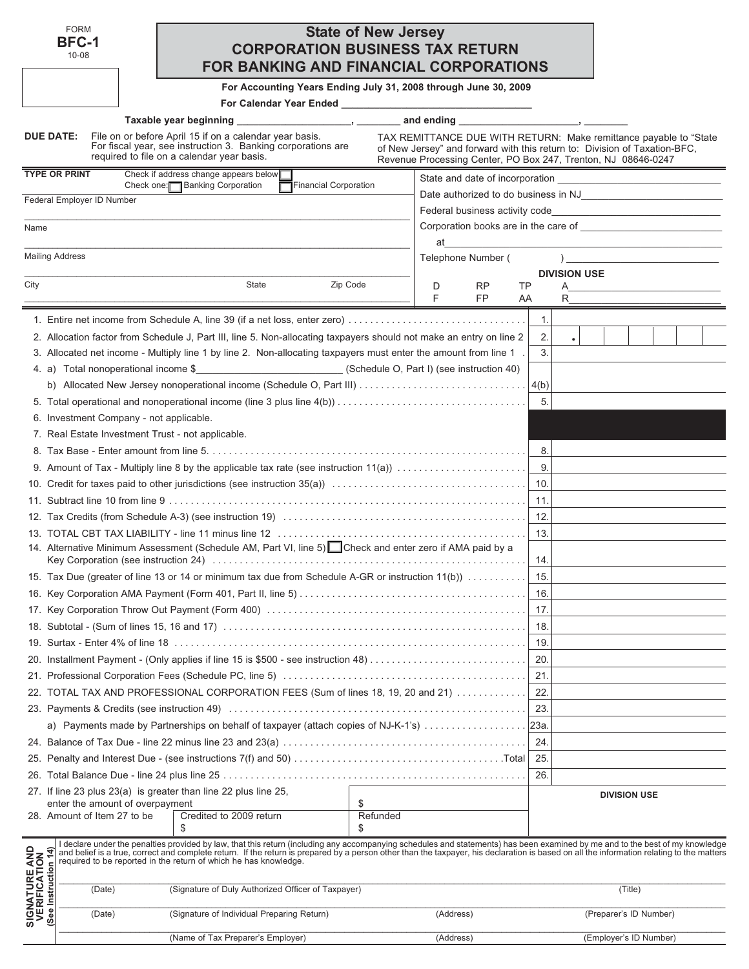| For Accounting Years Ending July 31, 2008 through June 30, 2009<br><b>DUE DATE:</b><br>File on or before April 15 if on a calendar year basis.<br>TAX REMITTANCE DUE WITH RETURN: Make remittance payable to "State<br>For fiscal year, see instruction 3. Banking corporations are<br>of New Jersey" and forward with this return to: Division of Taxation-BFC,<br>required to file on a calendar year basis.<br>Revenue Processing Center, PO Box 247, Trenton, NJ 08646-0247<br><b>TYPE OR PRINT</b><br>Check if address change appears below<br>State and date of incorporation<br>Check one: Banking Corporation<br>Financial Corporation<br>Date authorized to do business in NJ<br>Federal Employer ID Number<br>Federal business activity code<br><u> 2000 - 2000 - 2000 - 2000 - 2000 - 2000 - 2000 - 2000 - 2000 - 2000 - 2000 - 2000 - 2000 - 2000 - 2000 - 200</u><br>Name<br>at<br>the control of the control of the control of the control of<br><b>Mailing Address</b><br>Telephone Number (<br>$\overline{\phantom{a}}$<br><b>DIVISION USE</b><br>Zip Code<br>City<br>State<br>D<br>RP<br>ТP<br>A<br>F<br>FP.<br>AA.<br>R<br>1.<br>1. Entire net income from Schedule A, line 39 (if a net loss, enter zero)<br>2. Allocation factor from Schedule J, Part III, line 5. Non-allocating taxpayers should not make an entry on line 2<br>2.<br>$\bullet$<br>3.<br>3. Allocated net income - Multiply line 1 by line 2. Non-allocating taxpayers must enter the amount from line 1<br>4. a) Total nonoperational income \$<br>5.<br>6. Investment Company - not applicable.<br>7. Real Estate Investment Trust - not applicable.<br>8.<br>9.<br>10.<br>11.<br>12.<br>13.<br>14. Alternative Minimum Assessment (Schedule AM, Part VI, line 5) Check and enter zero if AMA paid by a<br>14.<br>Key Corporation (see instruction 24)<br>15. Tax Due (greater of line 13 or 14 or minimum tax due from Schedule A-GR or instruction 11(b))<br>15.<br>16.<br>17.<br>18.<br>19.<br>Installment Payment - (Only applies if line 15 is \$500 - see instruction 48)<br>20.<br>20.<br>21.<br>22. TOTAL TAX AND PROFESSIONAL CORPORATION FEES (Sum of lines 18, 19, 20 and 21)<br>22.<br>23.<br>24.<br>25.<br>26.<br>27. If line 23 plus 23(a) is greater than line 22 plus line 25,<br><b>DIVISION USE</b><br>\$<br>enter the amount of overpayment<br>Credited to 2009 return<br>28. Amount of Item 27 to be<br>Refunded<br>\$<br>\$<br>I declare under the penalties provided by law, that this return (including any accompanying schedules and statements) has been examined by me and to the best of my knowledge<br><b>SIGNATURE AND<br/>VERIFICATION</b><br>(See Instruction 14)<br>and belief is a true, correct and complete return. If the return is prepared by a person other than the taxpayer, his declaration is based on all the information relating to the matters<br>required to be reported in the return of which he has knowledge.<br>(Signature of Duly Authorized Officer of Taxpayer)<br>(Title)<br>(Date)<br>(Signature of Individual Preparing Return)<br>(Address)<br>(Preparer's ID Number)<br>(Date) | <b>FORM</b><br><b>BFC-1</b><br>10-08 |  | <b>State of New Jersey</b><br><b>CORPORATION BUSINESS TAX RETURN</b><br>FOR BANKING AND FINANCIAL CORPORATIONS |  |  |  |  |
|----------------------------------------------------------------------------------------------------------------------------------------------------------------------------------------------------------------------------------------------------------------------------------------------------------------------------------------------------------------------------------------------------------------------------------------------------------------------------------------------------------------------------------------------------------------------------------------------------------------------------------------------------------------------------------------------------------------------------------------------------------------------------------------------------------------------------------------------------------------------------------------------------------------------------------------------------------------------------------------------------------------------------------------------------------------------------------------------------------------------------------------------------------------------------------------------------------------------------------------------------------------------------------------------------------------------------------------------------------------------------------------------------------------------------------------------------------------------------------------------------------------------------------------------------------------------------------------------------------------------------------------------------------------------------------------------------------------------------------------------------------------------------------------------------------------------------------------------------------------------------------------------------------------------------------------------------------------------------------------------------------------------------------------------------------------------------------------------------------------------------------------------------------------------------------------------------------------------------------------------------------------------------------------------------------------------------------------------------------------------------------------------------------------------------------------------------------------------------------------------------------------------------------------------------------------------------------------------------------------------------------------------------------------------------------------------------------------------------------------------------------------------------------------------------------------------------------------------------------------------------------------------------------------------------------------------------------------------------------------------------------------------------------------------------------------------------------------------------------------------------------------|--------------------------------------|--|----------------------------------------------------------------------------------------------------------------|--|--|--|--|
|                                                                                                                                                                                                                                                                                                                                                                                                                                                                                                                                                                                                                                                                                                                                                                                                                                                                                                                                                                                                                                                                                                                                                                                                                                                                                                                                                                                                                                                                                                                                                                                                                                                                                                                                                                                                                                                                                                                                                                                                                                                                                                                                                                                                                                                                                                                                                                                                                                                                                                                                                                                                                                                                                                                                                                                                                                                                                                                                                                                                                                                                                                                                        |                                      |  |                                                                                                                |  |  |  |  |
|                                                                                                                                                                                                                                                                                                                                                                                                                                                                                                                                                                                                                                                                                                                                                                                                                                                                                                                                                                                                                                                                                                                                                                                                                                                                                                                                                                                                                                                                                                                                                                                                                                                                                                                                                                                                                                                                                                                                                                                                                                                                                                                                                                                                                                                                                                                                                                                                                                                                                                                                                                                                                                                                                                                                                                                                                                                                                                                                                                                                                                                                                                                                        |                                      |  |                                                                                                                |  |  |  |  |
|                                                                                                                                                                                                                                                                                                                                                                                                                                                                                                                                                                                                                                                                                                                                                                                                                                                                                                                                                                                                                                                                                                                                                                                                                                                                                                                                                                                                                                                                                                                                                                                                                                                                                                                                                                                                                                                                                                                                                                                                                                                                                                                                                                                                                                                                                                                                                                                                                                                                                                                                                                                                                                                                                                                                                                                                                                                                                                                                                                                                                                                                                                                                        |                                      |  |                                                                                                                |  |  |  |  |
|                                                                                                                                                                                                                                                                                                                                                                                                                                                                                                                                                                                                                                                                                                                                                                                                                                                                                                                                                                                                                                                                                                                                                                                                                                                                                                                                                                                                                                                                                                                                                                                                                                                                                                                                                                                                                                                                                                                                                                                                                                                                                                                                                                                                                                                                                                                                                                                                                                                                                                                                                                                                                                                                                                                                                                                                                                                                                                                                                                                                                                                                                                                                        |                                      |  |                                                                                                                |  |  |  |  |
|                                                                                                                                                                                                                                                                                                                                                                                                                                                                                                                                                                                                                                                                                                                                                                                                                                                                                                                                                                                                                                                                                                                                                                                                                                                                                                                                                                                                                                                                                                                                                                                                                                                                                                                                                                                                                                                                                                                                                                                                                                                                                                                                                                                                                                                                                                                                                                                                                                                                                                                                                                                                                                                                                                                                                                                                                                                                                                                                                                                                                                                                                                                                        |                                      |  |                                                                                                                |  |  |  |  |
|                                                                                                                                                                                                                                                                                                                                                                                                                                                                                                                                                                                                                                                                                                                                                                                                                                                                                                                                                                                                                                                                                                                                                                                                                                                                                                                                                                                                                                                                                                                                                                                                                                                                                                                                                                                                                                                                                                                                                                                                                                                                                                                                                                                                                                                                                                                                                                                                                                                                                                                                                                                                                                                                                                                                                                                                                                                                                                                                                                                                                                                                                                                                        |                                      |  |                                                                                                                |  |  |  |  |
|                                                                                                                                                                                                                                                                                                                                                                                                                                                                                                                                                                                                                                                                                                                                                                                                                                                                                                                                                                                                                                                                                                                                                                                                                                                                                                                                                                                                                                                                                                                                                                                                                                                                                                                                                                                                                                                                                                                                                                                                                                                                                                                                                                                                                                                                                                                                                                                                                                                                                                                                                                                                                                                                                                                                                                                                                                                                                                                                                                                                                                                                                                                                        |                                      |  |                                                                                                                |  |  |  |  |
|                                                                                                                                                                                                                                                                                                                                                                                                                                                                                                                                                                                                                                                                                                                                                                                                                                                                                                                                                                                                                                                                                                                                                                                                                                                                                                                                                                                                                                                                                                                                                                                                                                                                                                                                                                                                                                                                                                                                                                                                                                                                                                                                                                                                                                                                                                                                                                                                                                                                                                                                                                                                                                                                                                                                                                                                                                                                                                                                                                                                                                                                                                                                        |                                      |  |                                                                                                                |  |  |  |  |
|                                                                                                                                                                                                                                                                                                                                                                                                                                                                                                                                                                                                                                                                                                                                                                                                                                                                                                                                                                                                                                                                                                                                                                                                                                                                                                                                                                                                                                                                                                                                                                                                                                                                                                                                                                                                                                                                                                                                                                                                                                                                                                                                                                                                                                                                                                                                                                                                                                                                                                                                                                                                                                                                                                                                                                                                                                                                                                                                                                                                                                                                                                                                        |                                      |  |                                                                                                                |  |  |  |  |
|                                                                                                                                                                                                                                                                                                                                                                                                                                                                                                                                                                                                                                                                                                                                                                                                                                                                                                                                                                                                                                                                                                                                                                                                                                                                                                                                                                                                                                                                                                                                                                                                                                                                                                                                                                                                                                                                                                                                                                                                                                                                                                                                                                                                                                                                                                                                                                                                                                                                                                                                                                                                                                                                                                                                                                                                                                                                                                                                                                                                                                                                                                                                        |                                      |  |                                                                                                                |  |  |  |  |
|                                                                                                                                                                                                                                                                                                                                                                                                                                                                                                                                                                                                                                                                                                                                                                                                                                                                                                                                                                                                                                                                                                                                                                                                                                                                                                                                                                                                                                                                                                                                                                                                                                                                                                                                                                                                                                                                                                                                                                                                                                                                                                                                                                                                                                                                                                                                                                                                                                                                                                                                                                                                                                                                                                                                                                                                                                                                                                                                                                                                                                                                                                                                        |                                      |  |                                                                                                                |  |  |  |  |
|                                                                                                                                                                                                                                                                                                                                                                                                                                                                                                                                                                                                                                                                                                                                                                                                                                                                                                                                                                                                                                                                                                                                                                                                                                                                                                                                                                                                                                                                                                                                                                                                                                                                                                                                                                                                                                                                                                                                                                                                                                                                                                                                                                                                                                                                                                                                                                                                                                                                                                                                                                                                                                                                                                                                                                                                                                                                                                                                                                                                                                                                                                                                        |                                      |  |                                                                                                                |  |  |  |  |
|                                                                                                                                                                                                                                                                                                                                                                                                                                                                                                                                                                                                                                                                                                                                                                                                                                                                                                                                                                                                                                                                                                                                                                                                                                                                                                                                                                                                                                                                                                                                                                                                                                                                                                                                                                                                                                                                                                                                                                                                                                                                                                                                                                                                                                                                                                                                                                                                                                                                                                                                                                                                                                                                                                                                                                                                                                                                                                                                                                                                                                                                                                                                        |                                      |  |                                                                                                                |  |  |  |  |
|                                                                                                                                                                                                                                                                                                                                                                                                                                                                                                                                                                                                                                                                                                                                                                                                                                                                                                                                                                                                                                                                                                                                                                                                                                                                                                                                                                                                                                                                                                                                                                                                                                                                                                                                                                                                                                                                                                                                                                                                                                                                                                                                                                                                                                                                                                                                                                                                                                                                                                                                                                                                                                                                                                                                                                                                                                                                                                                                                                                                                                                                                                                                        |                                      |  |                                                                                                                |  |  |  |  |
|                                                                                                                                                                                                                                                                                                                                                                                                                                                                                                                                                                                                                                                                                                                                                                                                                                                                                                                                                                                                                                                                                                                                                                                                                                                                                                                                                                                                                                                                                                                                                                                                                                                                                                                                                                                                                                                                                                                                                                                                                                                                                                                                                                                                                                                                                                                                                                                                                                                                                                                                                                                                                                                                                                                                                                                                                                                                                                                                                                                                                                                                                                                                        |                                      |  |                                                                                                                |  |  |  |  |
|                                                                                                                                                                                                                                                                                                                                                                                                                                                                                                                                                                                                                                                                                                                                                                                                                                                                                                                                                                                                                                                                                                                                                                                                                                                                                                                                                                                                                                                                                                                                                                                                                                                                                                                                                                                                                                                                                                                                                                                                                                                                                                                                                                                                                                                                                                                                                                                                                                                                                                                                                                                                                                                                                                                                                                                                                                                                                                                                                                                                                                                                                                                                        |                                      |  |                                                                                                                |  |  |  |  |
|                                                                                                                                                                                                                                                                                                                                                                                                                                                                                                                                                                                                                                                                                                                                                                                                                                                                                                                                                                                                                                                                                                                                                                                                                                                                                                                                                                                                                                                                                                                                                                                                                                                                                                                                                                                                                                                                                                                                                                                                                                                                                                                                                                                                                                                                                                                                                                                                                                                                                                                                                                                                                                                                                                                                                                                                                                                                                                                                                                                                                                                                                                                                        |                                      |  |                                                                                                                |  |  |  |  |
|                                                                                                                                                                                                                                                                                                                                                                                                                                                                                                                                                                                                                                                                                                                                                                                                                                                                                                                                                                                                                                                                                                                                                                                                                                                                                                                                                                                                                                                                                                                                                                                                                                                                                                                                                                                                                                                                                                                                                                                                                                                                                                                                                                                                                                                                                                                                                                                                                                                                                                                                                                                                                                                                                                                                                                                                                                                                                                                                                                                                                                                                                                                                        |                                      |  |                                                                                                                |  |  |  |  |
|                                                                                                                                                                                                                                                                                                                                                                                                                                                                                                                                                                                                                                                                                                                                                                                                                                                                                                                                                                                                                                                                                                                                                                                                                                                                                                                                                                                                                                                                                                                                                                                                                                                                                                                                                                                                                                                                                                                                                                                                                                                                                                                                                                                                                                                                                                                                                                                                                                                                                                                                                                                                                                                                                                                                                                                                                                                                                                                                                                                                                                                                                                                                        |                                      |  |                                                                                                                |  |  |  |  |
|                                                                                                                                                                                                                                                                                                                                                                                                                                                                                                                                                                                                                                                                                                                                                                                                                                                                                                                                                                                                                                                                                                                                                                                                                                                                                                                                                                                                                                                                                                                                                                                                                                                                                                                                                                                                                                                                                                                                                                                                                                                                                                                                                                                                                                                                                                                                                                                                                                                                                                                                                                                                                                                                                                                                                                                                                                                                                                                                                                                                                                                                                                                                        |                                      |  |                                                                                                                |  |  |  |  |
|                                                                                                                                                                                                                                                                                                                                                                                                                                                                                                                                                                                                                                                                                                                                                                                                                                                                                                                                                                                                                                                                                                                                                                                                                                                                                                                                                                                                                                                                                                                                                                                                                                                                                                                                                                                                                                                                                                                                                                                                                                                                                                                                                                                                                                                                                                                                                                                                                                                                                                                                                                                                                                                                                                                                                                                                                                                                                                                                                                                                                                                                                                                                        |                                      |  |                                                                                                                |  |  |  |  |
|                                                                                                                                                                                                                                                                                                                                                                                                                                                                                                                                                                                                                                                                                                                                                                                                                                                                                                                                                                                                                                                                                                                                                                                                                                                                                                                                                                                                                                                                                                                                                                                                                                                                                                                                                                                                                                                                                                                                                                                                                                                                                                                                                                                                                                                                                                                                                                                                                                                                                                                                                                                                                                                                                                                                                                                                                                                                                                                                                                                                                                                                                                                                        |                                      |  |                                                                                                                |  |  |  |  |
|                                                                                                                                                                                                                                                                                                                                                                                                                                                                                                                                                                                                                                                                                                                                                                                                                                                                                                                                                                                                                                                                                                                                                                                                                                                                                                                                                                                                                                                                                                                                                                                                                                                                                                                                                                                                                                                                                                                                                                                                                                                                                                                                                                                                                                                                                                                                                                                                                                                                                                                                                                                                                                                                                                                                                                                                                                                                                                                                                                                                                                                                                                                                        |                                      |  |                                                                                                                |  |  |  |  |
|                                                                                                                                                                                                                                                                                                                                                                                                                                                                                                                                                                                                                                                                                                                                                                                                                                                                                                                                                                                                                                                                                                                                                                                                                                                                                                                                                                                                                                                                                                                                                                                                                                                                                                                                                                                                                                                                                                                                                                                                                                                                                                                                                                                                                                                                                                                                                                                                                                                                                                                                                                                                                                                                                                                                                                                                                                                                                                                                                                                                                                                                                                                                        |                                      |  |                                                                                                                |  |  |  |  |
|                                                                                                                                                                                                                                                                                                                                                                                                                                                                                                                                                                                                                                                                                                                                                                                                                                                                                                                                                                                                                                                                                                                                                                                                                                                                                                                                                                                                                                                                                                                                                                                                                                                                                                                                                                                                                                                                                                                                                                                                                                                                                                                                                                                                                                                                                                                                                                                                                                                                                                                                                                                                                                                                                                                                                                                                                                                                                                                                                                                                                                                                                                                                        |                                      |  |                                                                                                                |  |  |  |  |
|                                                                                                                                                                                                                                                                                                                                                                                                                                                                                                                                                                                                                                                                                                                                                                                                                                                                                                                                                                                                                                                                                                                                                                                                                                                                                                                                                                                                                                                                                                                                                                                                                                                                                                                                                                                                                                                                                                                                                                                                                                                                                                                                                                                                                                                                                                                                                                                                                                                                                                                                                                                                                                                                                                                                                                                                                                                                                                                                                                                                                                                                                                                                        |                                      |  |                                                                                                                |  |  |  |  |
|                                                                                                                                                                                                                                                                                                                                                                                                                                                                                                                                                                                                                                                                                                                                                                                                                                                                                                                                                                                                                                                                                                                                                                                                                                                                                                                                                                                                                                                                                                                                                                                                                                                                                                                                                                                                                                                                                                                                                                                                                                                                                                                                                                                                                                                                                                                                                                                                                                                                                                                                                                                                                                                                                                                                                                                                                                                                                                                                                                                                                                                                                                                                        |                                      |  |                                                                                                                |  |  |  |  |
|                                                                                                                                                                                                                                                                                                                                                                                                                                                                                                                                                                                                                                                                                                                                                                                                                                                                                                                                                                                                                                                                                                                                                                                                                                                                                                                                                                                                                                                                                                                                                                                                                                                                                                                                                                                                                                                                                                                                                                                                                                                                                                                                                                                                                                                                                                                                                                                                                                                                                                                                                                                                                                                                                                                                                                                                                                                                                                                                                                                                                                                                                                                                        |                                      |  |                                                                                                                |  |  |  |  |
|                                                                                                                                                                                                                                                                                                                                                                                                                                                                                                                                                                                                                                                                                                                                                                                                                                                                                                                                                                                                                                                                                                                                                                                                                                                                                                                                                                                                                                                                                                                                                                                                                                                                                                                                                                                                                                                                                                                                                                                                                                                                                                                                                                                                                                                                                                                                                                                                                                                                                                                                                                                                                                                                                                                                                                                                                                                                                                                                                                                                                                                                                                                                        |                                      |  |                                                                                                                |  |  |  |  |
|                                                                                                                                                                                                                                                                                                                                                                                                                                                                                                                                                                                                                                                                                                                                                                                                                                                                                                                                                                                                                                                                                                                                                                                                                                                                                                                                                                                                                                                                                                                                                                                                                                                                                                                                                                                                                                                                                                                                                                                                                                                                                                                                                                                                                                                                                                                                                                                                                                                                                                                                                                                                                                                                                                                                                                                                                                                                                                                                                                                                                                                                                                                                        |                                      |  |                                                                                                                |  |  |  |  |
|                                                                                                                                                                                                                                                                                                                                                                                                                                                                                                                                                                                                                                                                                                                                                                                                                                                                                                                                                                                                                                                                                                                                                                                                                                                                                                                                                                                                                                                                                                                                                                                                                                                                                                                                                                                                                                                                                                                                                                                                                                                                                                                                                                                                                                                                                                                                                                                                                                                                                                                                                                                                                                                                                                                                                                                                                                                                                                                                                                                                                                                                                                                                        |                                      |  |                                                                                                                |  |  |  |  |
|                                                                                                                                                                                                                                                                                                                                                                                                                                                                                                                                                                                                                                                                                                                                                                                                                                                                                                                                                                                                                                                                                                                                                                                                                                                                                                                                                                                                                                                                                                                                                                                                                                                                                                                                                                                                                                                                                                                                                                                                                                                                                                                                                                                                                                                                                                                                                                                                                                                                                                                                                                                                                                                                                                                                                                                                                                                                                                                                                                                                                                                                                                                                        |                                      |  |                                                                                                                |  |  |  |  |
|                                                                                                                                                                                                                                                                                                                                                                                                                                                                                                                                                                                                                                                                                                                                                                                                                                                                                                                                                                                                                                                                                                                                                                                                                                                                                                                                                                                                                                                                                                                                                                                                                                                                                                                                                                                                                                                                                                                                                                                                                                                                                                                                                                                                                                                                                                                                                                                                                                                                                                                                                                                                                                                                                                                                                                                                                                                                                                                                                                                                                                                                                                                                        |                                      |  |                                                                                                                |  |  |  |  |
|                                                                                                                                                                                                                                                                                                                                                                                                                                                                                                                                                                                                                                                                                                                                                                                                                                                                                                                                                                                                                                                                                                                                                                                                                                                                                                                                                                                                                                                                                                                                                                                                                                                                                                                                                                                                                                                                                                                                                                                                                                                                                                                                                                                                                                                                                                                                                                                                                                                                                                                                                                                                                                                                                                                                                                                                                                                                                                                                                                                                                                                                                                                                        |                                      |  |                                                                                                                |  |  |  |  |
|                                                                                                                                                                                                                                                                                                                                                                                                                                                                                                                                                                                                                                                                                                                                                                                                                                                                                                                                                                                                                                                                                                                                                                                                                                                                                                                                                                                                                                                                                                                                                                                                                                                                                                                                                                                                                                                                                                                                                                                                                                                                                                                                                                                                                                                                                                                                                                                                                                                                                                                                                                                                                                                                                                                                                                                                                                                                                                                                                                                                                                                                                                                                        |                                      |  |                                                                                                                |  |  |  |  |
|                                                                                                                                                                                                                                                                                                                                                                                                                                                                                                                                                                                                                                                                                                                                                                                                                                                                                                                                                                                                                                                                                                                                                                                                                                                                                                                                                                                                                                                                                                                                                                                                                                                                                                                                                                                                                                                                                                                                                                                                                                                                                                                                                                                                                                                                                                                                                                                                                                                                                                                                                                                                                                                                                                                                                                                                                                                                                                                                                                                                                                                                                                                                        |                                      |  |                                                                                                                |  |  |  |  |
|                                                                                                                                                                                                                                                                                                                                                                                                                                                                                                                                                                                                                                                                                                                                                                                                                                                                                                                                                                                                                                                                                                                                                                                                                                                                                                                                                                                                                                                                                                                                                                                                                                                                                                                                                                                                                                                                                                                                                                                                                                                                                                                                                                                                                                                                                                                                                                                                                                                                                                                                                                                                                                                                                                                                                                                                                                                                                                                                                                                                                                                                                                                                        |                                      |  |                                                                                                                |  |  |  |  |
|                                                                                                                                                                                                                                                                                                                                                                                                                                                                                                                                                                                                                                                                                                                                                                                                                                                                                                                                                                                                                                                                                                                                                                                                                                                                                                                                                                                                                                                                                                                                                                                                                                                                                                                                                                                                                                                                                                                                                                                                                                                                                                                                                                                                                                                                                                                                                                                                                                                                                                                                                                                                                                                                                                                                                                                                                                                                                                                                                                                                                                                                                                                                        |                                      |  |                                                                                                                |  |  |  |  |
|                                                                                                                                                                                                                                                                                                                                                                                                                                                                                                                                                                                                                                                                                                                                                                                                                                                                                                                                                                                                                                                                                                                                                                                                                                                                                                                                                                                                                                                                                                                                                                                                                                                                                                                                                                                                                                                                                                                                                                                                                                                                                                                                                                                                                                                                                                                                                                                                                                                                                                                                                                                                                                                                                                                                                                                                                                                                                                                                                                                                                                                                                                                                        |                                      |  |                                                                                                                |  |  |  |  |
|                                                                                                                                                                                                                                                                                                                                                                                                                                                                                                                                                                                                                                                                                                                                                                                                                                                                                                                                                                                                                                                                                                                                                                                                                                                                                                                                                                                                                                                                                                                                                                                                                                                                                                                                                                                                                                                                                                                                                                                                                                                                                                                                                                                                                                                                                                                                                                                                                                                                                                                                                                                                                                                                                                                                                                                                                                                                                                                                                                                                                                                                                                                                        |                                      |  |                                                                                                                |  |  |  |  |
|                                                                                                                                                                                                                                                                                                                                                                                                                                                                                                                                                                                                                                                                                                                                                                                                                                                                                                                                                                                                                                                                                                                                                                                                                                                                                                                                                                                                                                                                                                                                                                                                                                                                                                                                                                                                                                                                                                                                                                                                                                                                                                                                                                                                                                                                                                                                                                                                                                                                                                                                                                                                                                                                                                                                                                                                                                                                                                                                                                                                                                                                                                                                        |                                      |  |                                                                                                                |  |  |  |  |
|                                                                                                                                                                                                                                                                                                                                                                                                                                                                                                                                                                                                                                                                                                                                                                                                                                                                                                                                                                                                                                                                                                                                                                                                                                                                                                                                                                                                                                                                                                                                                                                                                                                                                                                                                                                                                                                                                                                                                                                                                                                                                                                                                                                                                                                                                                                                                                                                                                                                                                                                                                                                                                                                                                                                                                                                                                                                                                                                                                                                                                                                                                                                        |                                      |  |                                                                                                                |  |  |  |  |
|                                                                                                                                                                                                                                                                                                                                                                                                                                                                                                                                                                                                                                                                                                                                                                                                                                                                                                                                                                                                                                                                                                                                                                                                                                                                                                                                                                                                                                                                                                                                                                                                                                                                                                                                                                                                                                                                                                                                                                                                                                                                                                                                                                                                                                                                                                                                                                                                                                                                                                                                                                                                                                                                                                                                                                                                                                                                                                                                                                                                                                                                                                                                        |                                      |  |                                                                                                                |  |  |  |  |
|                                                                                                                                                                                                                                                                                                                                                                                                                                                                                                                                                                                                                                                                                                                                                                                                                                                                                                                                                                                                                                                                                                                                                                                                                                                                                                                                                                                                                                                                                                                                                                                                                                                                                                                                                                                                                                                                                                                                                                                                                                                                                                                                                                                                                                                                                                                                                                                                                                                                                                                                                                                                                                                                                                                                                                                                                                                                                                                                                                                                                                                                                                                                        |                                      |  |                                                                                                                |  |  |  |  |
|                                                                                                                                                                                                                                                                                                                                                                                                                                                                                                                                                                                                                                                                                                                                                                                                                                                                                                                                                                                                                                                                                                                                                                                                                                                                                                                                                                                                                                                                                                                                                                                                                                                                                                                                                                                                                                                                                                                                                                                                                                                                                                                                                                                                                                                                                                                                                                                                                                                                                                                                                                                                                                                                                                                                                                                                                                                                                                                                                                                                                                                                                                                                        |                                      |  |                                                                                                                |  |  |  |  |
|                                                                                                                                                                                                                                                                                                                                                                                                                                                                                                                                                                                                                                                                                                                                                                                                                                                                                                                                                                                                                                                                                                                                                                                                                                                                                                                                                                                                                                                                                                                                                                                                                                                                                                                                                                                                                                                                                                                                                                                                                                                                                                                                                                                                                                                                                                                                                                                                                                                                                                                                                                                                                                                                                                                                                                                                                                                                                                                                                                                                                                                                                                                                        |                                      |  |                                                                                                                |  |  |  |  |
|                                                                                                                                                                                                                                                                                                                                                                                                                                                                                                                                                                                                                                                                                                                                                                                                                                                                                                                                                                                                                                                                                                                                                                                                                                                                                                                                                                                                                                                                                                                                                                                                                                                                                                                                                                                                                                                                                                                                                                                                                                                                                                                                                                                                                                                                                                                                                                                                                                                                                                                                                                                                                                                                                                                                                                                                                                                                                                                                                                                                                                                                                                                                        |                                      |  |                                                                                                                |  |  |  |  |

| "<br>"∩\/A"<br>. Na<br>.<br>''' | тное |
|---------------------------------|------|
|                                 |      |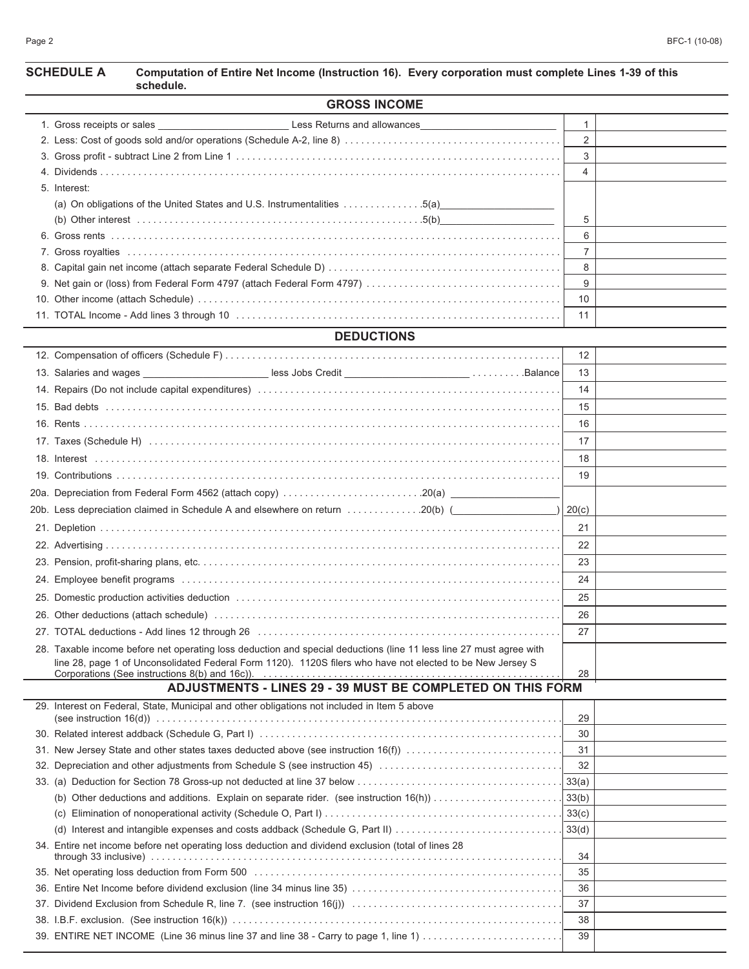### **SCHEDULE A Computation of Entire Net Income (Instruction 16). Every corporation must complete Lines 1-39 of this schedule.**

| schedule.                                                                                                                                                                                                                         |                |  |
|-----------------------------------------------------------------------------------------------------------------------------------------------------------------------------------------------------------------------------------|----------------|--|
| <b>GROSS INCOME</b>                                                                                                                                                                                                               |                |  |
| Less Returns and allowances<br>1. Gross receipts or sales                                                                                                                                                                         | 1              |  |
|                                                                                                                                                                                                                                   | $\overline{c}$ |  |
|                                                                                                                                                                                                                                   | 3              |  |
|                                                                                                                                                                                                                                   | $\overline{4}$ |  |
| 5. Interest:                                                                                                                                                                                                                      |                |  |
| (a) On obligations of the United States and U.S. Instrumentalities $\dots\dots\dots\dots\dots5(a)$                                                                                                                                |                |  |
|                                                                                                                                                                                                                                   | 5              |  |
|                                                                                                                                                                                                                                   | 6              |  |
|                                                                                                                                                                                                                                   | $\overline{7}$ |  |
|                                                                                                                                                                                                                                   | 8              |  |
|                                                                                                                                                                                                                                   | 9              |  |
|                                                                                                                                                                                                                                   | 10             |  |
|                                                                                                                                                                                                                                   | 11             |  |
| <b>DEDUCTIONS</b>                                                                                                                                                                                                                 |                |  |
|                                                                                                                                                                                                                                   |                |  |
|                                                                                                                                                                                                                                   | 12             |  |
| 13. Salaries and wages ______________________________less Jobs Credit _________________________Balance                                                                                                                            | 13             |  |
|                                                                                                                                                                                                                                   | 14             |  |
|                                                                                                                                                                                                                                   | 15             |  |
|                                                                                                                                                                                                                                   | 16             |  |
|                                                                                                                                                                                                                                   | 17             |  |
|                                                                                                                                                                                                                                   | 18             |  |
|                                                                                                                                                                                                                                   | 19             |  |
|                                                                                                                                                                                                                                   |                |  |
| 20b. Less depreciation claimed in Schedule A and elsewhere on return ............20(b) (_____________________)                                                                                                                    | 20(c)          |  |
|                                                                                                                                                                                                                                   | 21             |  |
|                                                                                                                                                                                                                                   | 22             |  |
|                                                                                                                                                                                                                                   | 23             |  |
|                                                                                                                                                                                                                                   | 24             |  |
|                                                                                                                                                                                                                                   | 25             |  |
|                                                                                                                                                                                                                                   | 26             |  |
|                                                                                                                                                                                                                                   | 27             |  |
|                                                                                                                                                                                                                                   |                |  |
| 28. Taxable income before net operating loss deduction and special deductions (line 11 less line 27 must agree with<br>line 28, page 1 of Unconsolidated Federal Form 1120). 1120S filers who have not elected to be New Jersey S |                |  |
|                                                                                                                                                                                                                                   | 28             |  |
| <b>ADJUSTMENTS - LINES 29 - 39 MUST BE COMPLETED ON THIS FORM</b>                                                                                                                                                                 |                |  |
| 29. Interest on Federal, State, Municipal and other obligations not included in Item 5 above                                                                                                                                      | 29             |  |
|                                                                                                                                                                                                                                   | 30             |  |
| 31. New Jersey State and other states taxes deducted above (see instruction 16(f))                                                                                                                                                | 31             |  |
| 32. Depreciation and other adjustments from Schedule S (see instruction 45)                                                                                                                                                       | 32             |  |
|                                                                                                                                                                                                                                   |                |  |
| (b) Other deductions and additions. Explain on separate rider. (see instruction $16(h)$ ) 33(b)                                                                                                                                   |                |  |
|                                                                                                                                                                                                                                   |                |  |
| (d) Interest and intangible expenses and costs addback (Schedule G, Part II)                                                                                                                                                      | 33(d)          |  |
| 34. Entire net income before net operating loss deduction and dividend exclusion (total of lines 28                                                                                                                               | 34             |  |
|                                                                                                                                                                                                                                   | 35             |  |
|                                                                                                                                                                                                                                   | 36             |  |
|                                                                                                                                                                                                                                   | 37             |  |

38. I.B.F. exclusion. (See instruction 16(k)) . . . . . . . . . . . . . . . . . . . . . . . . . . . . . . . . . . . . . . . . . . . . . . . . . . . . . . . . . . . . . 38 39. ENTIRE NET INCOME (Line 36 minus line 37 and line 38 - Carry to page 1, line 1) . . . . . . . . . . . . . . . . . . . . . . . . . . 39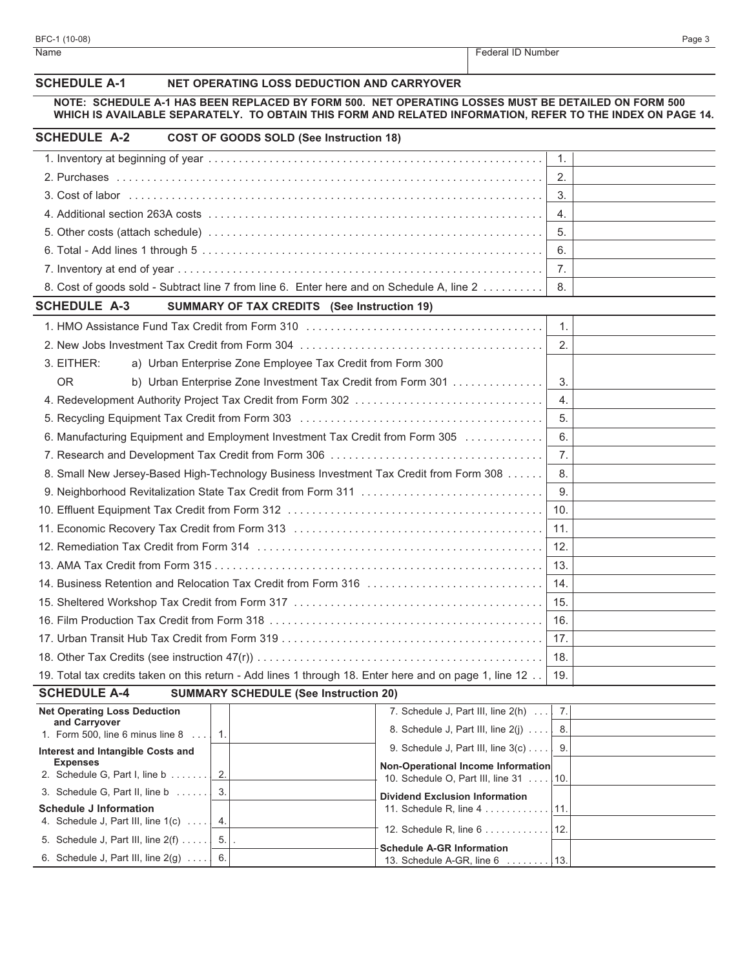# Name Federal ID Number

| <b>SCHEDULE A-1</b>                                             | NET OPERATING LOSS DEDUCTION AND CARRYOVER                 |                                                                                                                                                                                                                   |      |
|-----------------------------------------------------------------|------------------------------------------------------------|-------------------------------------------------------------------------------------------------------------------------------------------------------------------------------------------------------------------|------|
|                                                                 |                                                            | NOTE: SCHEDULE A-1 HAS BEEN REPLACED BY FORM 500. NET OPERATING LOSSES MUST BE DETAILED ON FORM 500<br>WHICH IS AVAILABLE SEPARATELY. TO OBTAIN THIS FORM AND RELATED INFORMATION, REFER TO THE INDEX ON PAGE 14. |      |
| <b>SCHEDULE A-2</b>                                             | <b>COST OF GOODS SOLD (See Instruction 18)</b>             |                                                                                                                                                                                                                   |      |
|                                                                 |                                                            |                                                                                                                                                                                                                   | 1.   |
|                                                                 |                                                            |                                                                                                                                                                                                                   | 2.   |
|                                                                 |                                                            |                                                                                                                                                                                                                   | 3.   |
|                                                                 |                                                            |                                                                                                                                                                                                                   | 4.   |
|                                                                 |                                                            |                                                                                                                                                                                                                   | 5.   |
|                                                                 |                                                            |                                                                                                                                                                                                                   | 6.   |
|                                                                 |                                                            |                                                                                                                                                                                                                   | 7.   |
|                                                                 |                                                            | 8. Cost of goods sold - Subtract line 7 from line 6. Enter here and on Schedule A, line 2                                                                                                                         | 8.   |
| <b>SCHEDULE A-3</b>                                             | <b>SUMMARY OF TAX CREDITS</b> (See Instruction 19)         |                                                                                                                                                                                                                   |      |
|                                                                 |                                                            |                                                                                                                                                                                                                   | 1.   |
|                                                                 |                                                            |                                                                                                                                                                                                                   | 2.   |
| 3. EITHER:                                                      | a) Urban Enterprise Zone Employee Tax Credit from Form 300 |                                                                                                                                                                                                                   |      |
| <b>OR</b>                                                       |                                                            | b) Urban Enterprise Zone Investment Tax Credit from Form 301                                                                                                                                                      | 3.   |
|                                                                 |                                                            | 4. Redevelopment Authority Project Tax Credit from Form 302                                                                                                                                                       | 4.   |
|                                                                 |                                                            |                                                                                                                                                                                                                   | 5.   |
|                                                                 |                                                            | 6. Manufacturing Equipment and Employment Investment Tax Credit from Form 305                                                                                                                                     | 6.   |
|                                                                 |                                                            |                                                                                                                                                                                                                   | 7.   |
|                                                                 |                                                            | 8. Small New Jersey-Based High-Technology Business Investment Tax Credit from Form 308                                                                                                                            | 8.   |
|                                                                 |                                                            |                                                                                                                                                                                                                   | 9.   |
|                                                                 |                                                            |                                                                                                                                                                                                                   | 10.  |
|                                                                 |                                                            |                                                                                                                                                                                                                   | 11.  |
|                                                                 |                                                            |                                                                                                                                                                                                                   | 12.  |
|                                                                 |                                                            |                                                                                                                                                                                                                   | -13. |
|                                                                 |                                                            |                                                                                                                                                                                                                   | 14.  |
|                                                                 |                                                            |                                                                                                                                                                                                                   | 15.  |
|                                                                 |                                                            |                                                                                                                                                                                                                   | 16.  |
|                                                                 |                                                            |                                                                                                                                                                                                                   | .17  |
|                                                                 |                                                            |                                                                                                                                                                                                                   | 18.  |
|                                                                 |                                                            | 19. Total tax credits taken on this return - Add lines 1 through 18. Enter here and on page 1, line 12                                                                                                            | 19.  |
| <b>SCHEDULE A-4</b>                                             | <b>SUMMARY SCHEDULE (See Instruction 20)</b>               |                                                                                                                                                                                                                   |      |
| <b>Net Operating Loss Deduction</b>                             |                                                            | 7. Schedule J, Part III, line 2(h)                                                                                                                                                                                | 7.   |
| and Carryover<br>1. Form 500, line 6 minus line $8 \ldots$      | $\overline{1}$ .                                           | 8. Schedule J, Part III, line 2(j)                                                                                                                                                                                | 8.   |
| Interest and Intangible Costs and                               |                                                            | 9. Schedule J, Part III, line $3(c)$                                                                                                                                                                              | 9.   |
| <b>Expenses</b>                                                 |                                                            | <b>Non-Operational Income Information</b>                                                                                                                                                                         |      |
| 2. Schedule G, Part I, line b                                   | 2.                                                         | 10. Schedule O, Part III, line 31                                                                                                                                                                                 | 10.  |
| 3. Schedule G, Part II, line b<br><b>Schedule J Information</b> | 3.                                                         | <b>Dividend Exclusion Information</b>                                                                                                                                                                             |      |
| 4. Schedule J, Part III, line $1(c)$                            | 4.                                                         | 11. Schedule R, line $4 \ldots \ldots \ldots$                                                                                                                                                                     | 11.  |
| 5. Schedule J, Part III, line 2(f)                              | 5.                                                         | 12. Schedule R, line $6 \ldots \ldots \ldots$                                                                                                                                                                     | 12.  |
| 6. Schedule J, Part III, line $2(g)$                            | 6.                                                         | <b>Schedule A-GR Information</b><br>13. Schedule A-GR, line $6 \ldots \ldots$ 13.                                                                                                                                 |      |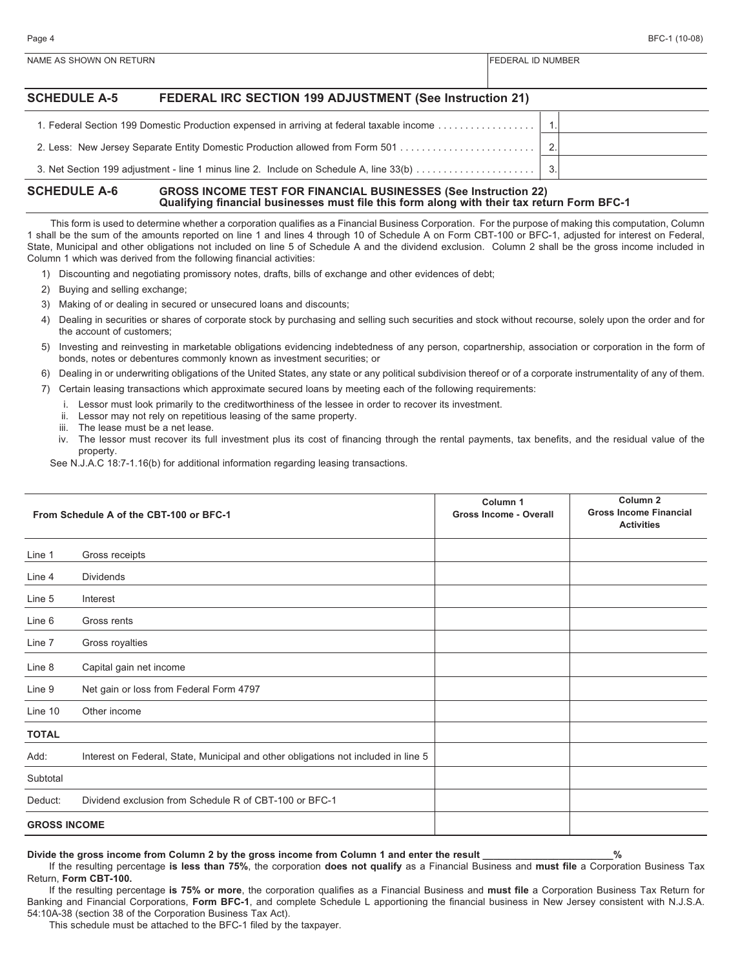| <b>SCHEDULE A-5</b> | <b>FEDERAL IRC SECTION 199 ADJUSTMENT (See Instruction 21)</b>                            |               |  |
|---------------------|-------------------------------------------------------------------------------------------|---------------|--|
|                     | 1. Federal Section 199 Domestic Production expensed in arriving at federal taxable income |               |  |
|                     |                                                                                           | $\mathcal{L}$ |  |
|                     | 3. Net Section 199 adjustment - line 1 minus line 2. Include on Schedule A, line 33(b)    | 3.            |  |
|                     |                                                                                           |               |  |

### **SCHEDULE A-6 GROSS INCOME TEST FOR FINANCIAL BUSINESSES (See Instruction 22) Qualifying financial businesses must file this form along with their tax return Form BFC-1**

NAME AS SHOWN ON RETURN FEDERAL ID NUMBER

This form is used to determine whether a corporation qualifies as a Financial Business Corporation. For the purpose of making this computation, Column 1 shall be the sum of the amounts reported on line 1 and lines 4 through 10 of Schedule A on Form CBT-100 or BFC-1, adjusted for interest on Federal, State, Municipal and other obligations not included on line 5 of Schedule A and the dividend exclusion. Column 2 shall be the gross income included in Column 1 which was derived from the following financial activities:

- 1) Discounting and negotiating promissory notes, drafts, bills of exchange and other evidences of debt;
- 2) Buying and selling exchange;
- 3) Making of or dealing in secured or unsecured loans and discounts;
- 4) Dealing in securities or shares of corporate stock by purchasing and selling such securities and stock without recourse, solely upon the order and for the account of customers;
- 5) Investing and reinvesting in marketable obligations evidencing indebtedness of any person, copartnership, association or corporation in the form of bonds, notes or debentures commonly known as investment securities; or
- 6) Dealing in or underwriting obligations of the United States, any state or any political subdivision thereof or of a corporate instrumentality of any of them.
- 7) Certain leasing transactions which approximate secured loans by meeting each of the following requirements:
	- i. Lessor must look primarily to the creditworthiness of the lessee in order to recover its investment.
	- ii. Lessor may not rely on repetitious leasing of the same property.
	- iii. The lease must be a net lease.
	- iv. The lessor must recover its full investment plus its cost of financing through the rental payments, tax benefits, and the residual value of the property.

See N.J.A.C 18:7-1.16(b) for additional information regarding leasing transactions.

|                     | From Schedule A of the CBT-100 or BFC-1                                            | Column <sub>1</sub><br><b>Gross Income - Overall</b> | Column <sub>2</sub><br><b>Gross Income Financial</b><br><b>Activities</b> |
|---------------------|------------------------------------------------------------------------------------|------------------------------------------------------|---------------------------------------------------------------------------|
| Line 1              | Gross receipts                                                                     |                                                      |                                                                           |
| Line 4              | <b>Dividends</b>                                                                   |                                                      |                                                                           |
| Line 5              | Interest                                                                           |                                                      |                                                                           |
| Line 6              | Gross rents                                                                        |                                                      |                                                                           |
| Line 7              | Gross royalties                                                                    |                                                      |                                                                           |
| Line 8              | Capital gain net income                                                            |                                                      |                                                                           |
| Line 9              | Net gain or loss from Federal Form 4797                                            |                                                      |                                                                           |
| Line 10             | Other income                                                                       |                                                      |                                                                           |
| <b>TOTAL</b>        |                                                                                    |                                                      |                                                                           |
| Add:                | Interest on Federal, State, Municipal and other obligations not included in line 5 |                                                      |                                                                           |
| Subtotal            |                                                                                    |                                                      |                                                                           |
| Deduct:             | Dividend exclusion from Schedule R of CBT-100 or BFC-1                             |                                                      |                                                                           |
| <b>GROSS INCOME</b> |                                                                                    |                                                      |                                                                           |

**Divide the gross income from Column 2 by the gross income from Column 1 and enter the result \_\_\_\_\_\_\_\_\_\_\_\_\_\_\_\_\_\_\_\_\_\_\_\_%**

If the resulting percentage **is less than 75%**, the corporation **does not qualify** as a Financial Business and **must file** a Corporation Business Tax Return, **Form CBT-100.**

If the resulting percentage **is 75% or more**, the corporation qualifies as a Financial Business and **must file** a Corporation Business Tax Return for Banking and Financial Corporations, **Form BFC-1**, and complete Schedule L apportioning the financial business in New Jersey consistent with N.J.S.A. 54:10A-38 (section 38 of the Corporation Business Tax Act).

This schedule must be attached to the BFC-1 filed by the taxpayer.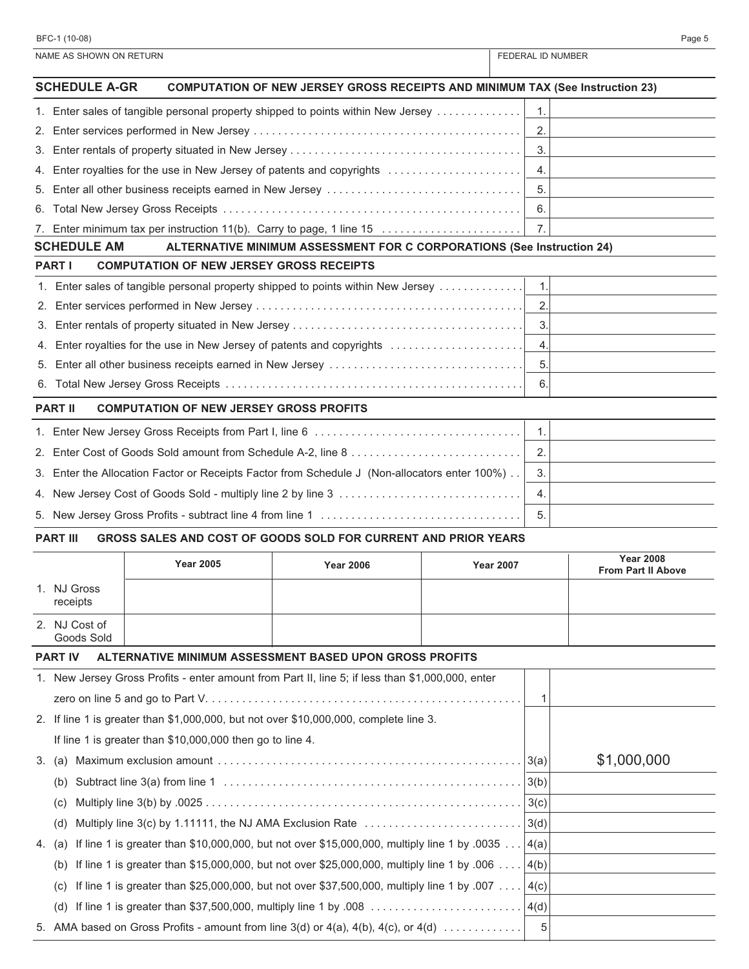| NAME AS SHOWN ON RETURN     |                                                                                                           |                                                                                      |                  | FEDERAL ID NUMBER |                                               |
|-----------------------------|-----------------------------------------------------------------------------------------------------------|--------------------------------------------------------------------------------------|------------------|-------------------|-----------------------------------------------|
| <b>SCHEDULE A-GR</b>        |                                                                                                           | <b>COMPUTATION OF NEW JERSEY GROSS RECEIPTS AND MINIMUM TAX (See Instruction 23)</b> |                  |                   |                                               |
|                             | 1. Enter sales of tangible personal property shipped to points within New Jersey                          |                                                                                      |                  | $\mathbf 1$ .     |                                               |
| 2.                          |                                                                                                           |                                                                                      |                  | 2.                |                                               |
| 3.                          |                                                                                                           |                                                                                      |                  | 3.                |                                               |
| 4.                          | Enter royalties for the use in New Jersey of patents and copyrights                                       |                                                                                      | 4.               |                   |                                               |
| 5.                          |                                                                                                           |                                                                                      |                  | 5.                |                                               |
| 6.                          |                                                                                                           |                                                                                      |                  | 6.                |                                               |
|                             | 7. Enter minimum tax per instruction 11(b). Carry to page, 1 line 15                                      |                                                                                      |                  | $\overline{7}$ .  |                                               |
| <b>SCHEDULE AM</b>          |                                                                                                           | ALTERNATIVE MINIMUM ASSESSMENT FOR C CORPORATIONS (See Instruction 24)               |                  |                   |                                               |
| <b>PART I</b>               | <b>COMPUTATION OF NEW JERSEY GROSS RECEIPTS</b>                                                           |                                                                                      |                  |                   |                                               |
|                             | 1. Enter sales of tangible personal property shipped to points within New Jersey                          |                                                                                      |                  | 1.                |                                               |
| 2.                          |                                                                                                           |                                                                                      |                  | 2.                |                                               |
| 3.                          |                                                                                                           |                                                                                      |                  | 3.                |                                               |
| 4.                          | Enter royalties for the use in New Jersey of patents and copyrights                                       |                                                                                      |                  | $\overline{4}$ .  |                                               |
| 5.                          |                                                                                                           |                                                                                      |                  | 5.                |                                               |
| 6.                          |                                                                                                           |                                                                                      |                  | 6.                |                                               |
| <b>PART II</b>              | <b>COMPUTATION OF NEW JERSEY GROSS PROFITS</b>                                                            |                                                                                      |                  |                   |                                               |
|                             |                                                                                                           |                                                                                      |                  | $\mathbf{1}$ .    |                                               |
| 2.                          |                                                                                                           |                                                                                      |                  | 2.                |                                               |
| 3.                          | Enter the Allocation Factor or Receipts Factor from Schedule J (Non-allocators enter 100%)                |                                                                                      |                  | 3.                |                                               |
| 4.                          |                                                                                                           |                                                                                      |                  | 4.                |                                               |
| 5.                          |                                                                                                           |                                                                                      |                  | 5.                |                                               |
| <b>PART III</b>             | GROSS SALES AND COST OF GOODS SOLD FOR CURRENT AND PRIOR YEARS                                            |                                                                                      |                  |                   |                                               |
|                             | <b>Year 2005</b>                                                                                          | <b>Year 2006</b>                                                                     | <b>Year 2007</b> |                   | <b>Year 2008</b><br><b>From Part II Above</b> |
| 1. NJ Gross                 |                                                                                                           |                                                                                      |                  |                   |                                               |
| receipts                    |                                                                                                           |                                                                                      |                  |                   |                                               |
| 2. NJ Cost of<br>Goods Sold |                                                                                                           |                                                                                      |                  |                   |                                               |
| <b>PART IV</b>              | ALTERNATIVE MINIMUM ASSESSMENT BASED UPON GROSS PROFITS                                                   |                                                                                      |                  |                   |                                               |
|                             | 1. New Jersey Gross Profits - enter amount from Part II, line 5; if less than \$1,000,000, enter          |                                                                                      |                  |                   |                                               |
|                             |                                                                                                           |                                                                                      |                  | 1                 |                                               |
|                             | 2. If line 1 is greater than \$1,000,000, but not over \$10,000,000, complete line 3.                     |                                                                                      |                  |                   |                                               |
|                             | If line 1 is greater than \$10,000,000 then go to line 4.                                                 |                                                                                      |                  |                   |                                               |
| 3.<br>(a)                   |                                                                                                           |                                                                                      |                  |                   | \$1,000,000                                   |
| (b)                         |                                                                                                           |                                                                                      |                  |                   |                                               |
|                             |                                                                                                           |                                                                                      |                  |                   |                                               |
| (C)                         |                                                                                                           |                                                                                      |                  |                   |                                               |
| (d)                         |                                                                                                           |                                                                                      |                  |                   |                                               |
| (a)<br>4.                   | If line 1 is greater than \$10,000,000, but not over \$15,000,000, multiply line 1 by .0035 $\ldots$ 4(a) |                                                                                      |                  |                   |                                               |
| (b)                         | If line 1 is greater than \$15,000,000, but not over \$25,000,000, multiply line 1 by .006                |                                                                                      |                  | 4(b)              |                                               |
| (c)                         | If line 1 is greater than \$25,000,000, but not over \$37,500,000, multiply line 1 by .007 $\dots$        |                                                                                      |                  | 4(c)              |                                               |
| (d)                         |                                                                                                           |                                                                                      |                  |                   |                                               |
|                             | 5. AMA based on Gross Profits - amount from line $3(d)$ or $4(a)$ , $4(b)$ , $4(c)$ , or $4(d)$           |                                                                                      |                  | 5                 |                                               |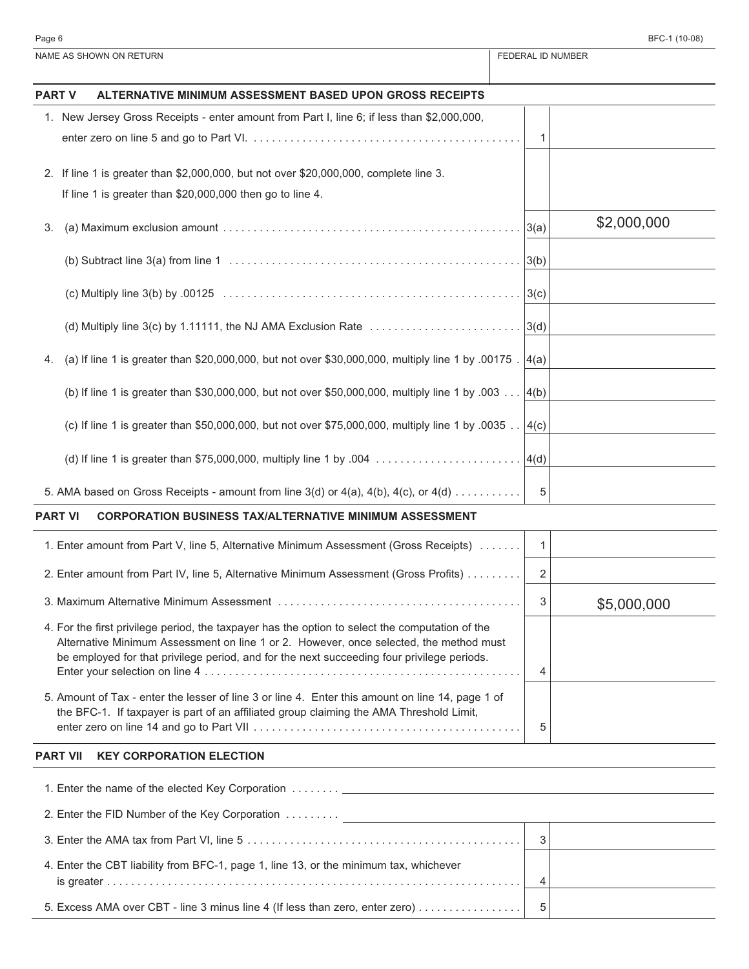| Page 6 | BFC-1 (10-08) |
|--------|---------------|
|--------|---------------|

| NAME AS SHOWN ON RETURN                                                                                                                                                                                                                                                                 | FEDERAL ID NUMBER |             |
|-----------------------------------------------------------------------------------------------------------------------------------------------------------------------------------------------------------------------------------------------------------------------------------------|-------------------|-------------|
| <b>PART V</b><br>ALTERNATIVE MINIMUM ASSESSMENT BASED UPON GROSS RECEIPTS                                                                                                                                                                                                               |                   |             |
| 1. New Jersey Gross Receipts - enter amount from Part I, line 6; if less than \$2,000,000,                                                                                                                                                                                              |                   |             |
|                                                                                                                                                                                                                                                                                         | 1                 |             |
|                                                                                                                                                                                                                                                                                         |                   |             |
| 2. If line 1 is greater than \$2,000,000, but not over \$20,000,000, complete line 3.                                                                                                                                                                                                   |                   |             |
| If line 1 is greater than \$20,000,000 then go to line 4.                                                                                                                                                                                                                               |                   |             |
| 3.                                                                                                                                                                                                                                                                                      |                   | \$2,000,000 |
|                                                                                                                                                                                                                                                                                         |                   |             |
|                                                                                                                                                                                                                                                                                         |                   |             |
| (d) Multiply line 3(c) by 1.11111, the NJ AMA Exclusion Rate $\ldots \ldots \ldots \ldots \ldots \ldots \ldots$                                                                                                                                                                         |                   |             |
| (a) If line 1 is greater than \$20,000,000, but not over \$30,000,000, multiply line 1 by .00175 . $ 4(a)$<br>4.                                                                                                                                                                        |                   |             |
| (b) If line 1 is greater than \$30,000,000, but not over \$50,000,000, multiply line 1 by .003 $ 4(b)$                                                                                                                                                                                  |                   |             |
| (c) If line 1 is greater than \$50,000,000, but not over \$75,000,000, multiply line 1 by .0035 $ 4(c)$                                                                                                                                                                                 |                   |             |
|                                                                                                                                                                                                                                                                                         |                   |             |
| 5. AMA based on Gross Receipts - amount from line $3(d)$ or $4(a)$ , $4(b)$ , $4(c)$ , or $4(d)$                                                                                                                                                                                        | 5                 |             |
| <b>PART VI</b><br><b>CORPORATION BUSINESS TAX/ALTERNATIVE MINIMUM ASSESSMENT</b>                                                                                                                                                                                                        |                   |             |
| 1. Enter amount from Part V, line 5, Alternative Minimum Assessment (Gross Receipts)                                                                                                                                                                                                    | $\mathbf{1}$      |             |
| 2. Enter amount from Part IV, line 5, Alternative Minimum Assessment (Gross Profits)                                                                                                                                                                                                    | 2                 |             |
|                                                                                                                                                                                                                                                                                         | 3                 | \$5,000,000 |
| 4. For the first privilege period, the taxpayer has the option to select the computation of the<br>Alternative Minimum Assessment on line 1 or 2. However, once selected, the method must<br>be employed for that privilege period, and for the next succeeding four privilege periods. | $\overline{4}$    |             |
| 5. Amount of Tax - enter the lesser of line 3 or line 4. Enter this amount on line 14, page 1 of<br>the BFC-1. If taxpayer is part of an affiliated group claiming the AMA Threshold Limit,                                                                                             | 5                 |             |
| <b>KEY CORPORATION ELECTION</b><br><b>PART VII</b>                                                                                                                                                                                                                                      |                   |             |
|                                                                                                                                                                                                                                                                                         |                   |             |
|                                                                                                                                                                                                                                                                                         |                   |             |
|                                                                                                                                                                                                                                                                                         | 3                 |             |
| 4. Enter the CBT liability from BFC-1, page 1, line 13, or the minimum tax, whichever                                                                                                                                                                                                   | 4                 |             |
| 5. Excess AMA over CBT - line 3 minus line 4 (If less than zero, enter zero)                                                                                                                                                                                                            | $\sqrt{5}$        |             |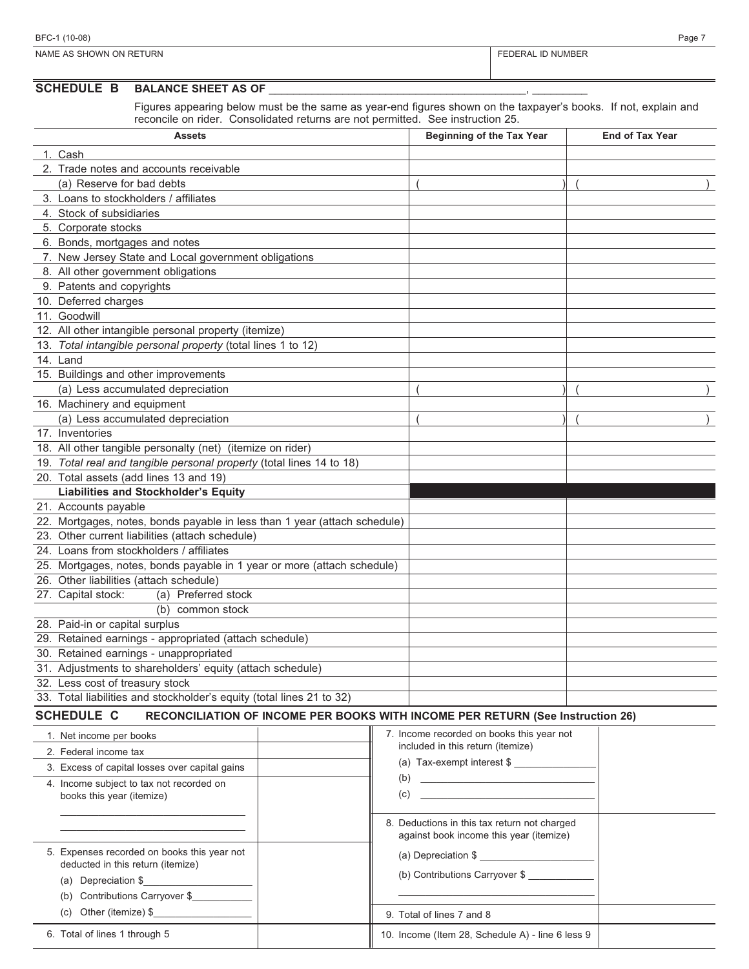| <b>SCHEDULE B</b> | <b>BALANCE SHEET AS OF</b> |  |
|-------------------|----------------------------|--|

Figures appearing below must be the same as year-end figures shown on the taxpayer's books. If not, explain and reconcile on rider. Consolidated returns are not permitted. See instruction 25.

| Assets                                                                                              | <b>Beginning of the Tax Year</b>          | <b>End of Tax Year</b> |
|-----------------------------------------------------------------------------------------------------|-------------------------------------------|------------------------|
| 1. Cash                                                                                             |                                           |                        |
| 2. Trade notes and accounts receivable                                                              |                                           |                        |
| (a) Reserve for bad debts                                                                           |                                           |                        |
| 3. Loans to stockholders / affiliates                                                               |                                           |                        |
| 4. Stock of subsidiaries                                                                            |                                           |                        |
| 5. Corporate stocks                                                                                 |                                           |                        |
| 6. Bonds, mortgages and notes                                                                       |                                           |                        |
| 7. New Jersey State and Local government obligations                                                |                                           |                        |
| 8. All other government obligations                                                                 |                                           |                        |
| 9. Patents and copyrights                                                                           |                                           |                        |
| 10. Deferred charges                                                                                |                                           |                        |
| 11. Goodwill                                                                                        |                                           |                        |
| 12. All other intangible personal property (itemize)                                                |                                           |                        |
| 13. Total intangible personal property (total lines 1 to 12)                                        |                                           |                        |
| 14. Land                                                                                            |                                           |                        |
| 15. Buildings and other improvements                                                                |                                           |                        |
| (a) Less accumulated depreciation                                                                   |                                           |                        |
| 16. Machinery and equipment                                                                         |                                           |                        |
| (a) Less accumulated depreciation                                                                   |                                           |                        |
| 17. Inventories                                                                                     |                                           |                        |
| 18. All other tangible personalty (net) (itemize on rider)                                          |                                           |                        |
| 19. Total real and tangible personal property (total lines 14 to 18)                                |                                           |                        |
| 20. Total assets (add lines 13 and 19)                                                              |                                           |                        |
| <b>Liabilities and Stockholder's Equity</b>                                                         |                                           |                        |
| 21. Accounts payable                                                                                |                                           |                        |
| 22. Mortgages, notes, bonds payable in less than 1 year (attach schedule)                           |                                           |                        |
| 23. Other current liabilities (attach schedule)                                                     |                                           |                        |
| 24. Loans from stockholders / affiliates                                                            |                                           |                        |
| 25. Mortgages, notes, bonds payable in 1 year or more (attach schedule)                             |                                           |                        |
| 26. Other liabilities (attach schedule)                                                             |                                           |                        |
| 27. Capital stock:<br>(a) Preferred stock                                                           |                                           |                        |
| (b)<br>common stock                                                                                 |                                           |                        |
| 28. Paid-in or capital surplus                                                                      |                                           |                        |
| 29. Retained earnings - appropriated (attach schedule)                                              |                                           |                        |
| 30. Retained earnings - unappropriated                                                              |                                           |                        |
| 31. Adjustments to shareholders' equity (attach schedule)                                           |                                           |                        |
| 32. Less cost of treasury stock                                                                     |                                           |                        |
| 33. Total liabilities and stockholder's equity (total lines 21 to 32)                               |                                           |                        |
| <b>SCHEDULE C</b><br>RECONCILIATION OF INCOME PER BOOKS WITH INCOME PER RETURN (See Instruction 26) |                                           |                        |
| 1. Net income per books                                                                             | 7. Income recorded on books this year not |                        |

| 1. Net income per books<br>2. Federal income tax<br>3. Excess of capital losses over capital gains<br>4. Income subject to tax not recorded on<br>books this year (itemize) | /. Income recorded on books this year not<br>included in this return (itemize)<br>(a) Tax-exempt interest $$$<br>(b)<br>and the state of the state of the state of the state of the state of the state of<br>(c) |  |
|-----------------------------------------------------------------------------------------------------------------------------------------------------------------------------|------------------------------------------------------------------------------------------------------------------------------------------------------------------------------------------------------------------|--|
| 5. Expenses recorded on books this year not<br>deducted in this return (itemize)<br>(a) Depreciation $$$<br>(b) Contributions Carryover \$<br>(c) Other (itemize) $$$       | 8. Deductions in this tax return not charged<br>against book income this year (itemize)<br>(a) Depreciation $$$<br>(b) Contributions Carryover \$<br>9. Total of lines 7 and 8                                   |  |
| 6. Total of lines 1 through 5                                                                                                                                               | 10. Income (Item 28, Schedule A) - line 6 less 9                                                                                                                                                                 |  |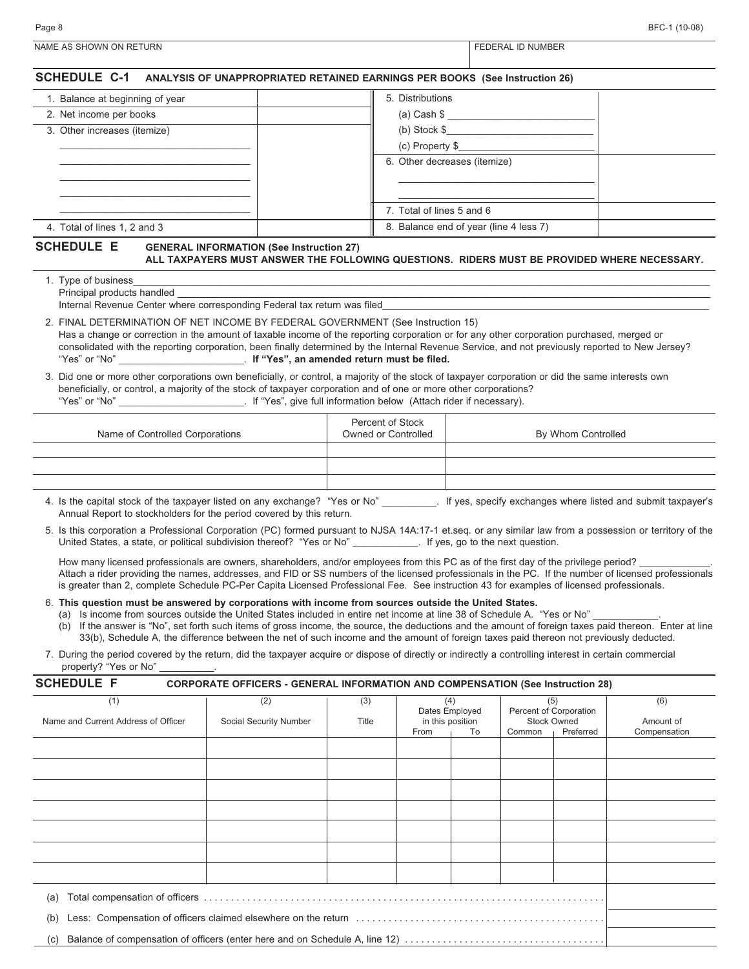| NAME AS SHOWN ON RETURN                                              | FEDERAL ID NUMBER                                                           |  |
|----------------------------------------------------------------------|-----------------------------------------------------------------------------|--|
| <b>SCHEDULE C-1</b>                                                  | ANALYSIS OF UNAPPROPRIATED RETAINED EARNINGS PER BOOKS (See Instruction 26) |  |
| 1. Balance at beginning of year<br>2. Net income per books           | 5. Distributions<br>$(a)$ Cash $\$\$                                        |  |
| 3. Other increases (itemize)                                         | (b) Stock $\frac{6}{2}$<br>(c) Property \$                                  |  |
|                                                                      | 6. Other decreases (itemize)                                                |  |
|                                                                      | 7. Total of lines 5 and 6                                                   |  |
| 4. Total of lines 1, 2 and 3                                         | 8. Balance end of year (line 4 less 7)                                      |  |
| <b>SCHEDULE E</b><br><b>GENERAL INFORMATION (See Instruction 27)</b> |                                                                             |  |

**ALL TAXPAYERS MUST ANSWER THE FOLLOWING QUESTIONS. RIDERS MUST BE PROVIDED WHERE NECESSARY.**

#### 1. Type of business

| Principal products handled                                               |  |
|--------------------------------------------------------------------------|--|
| Internal Revenue Center where corresponding Federal tax return was filed |  |

- 2. FINAL DETERMINATION OF NET INCOME BY FEDERAL GOVERNMENT (See Instruction 15) Has a change or correction in the amount of taxable income of the reporting corporation or for any other corporation purchased, merged or consolidated with the reporting corporation, been finally determined by the Internal Revenue Service, and not previously reported to New Jersey? "Yes" or "No" \_\_\_\_\_\_\_\_\_\_\_\_\_\_\_\_\_\_\_\_\_\_\_. **If "Yes", an amended return must be filed.**
- 3. Did one or more other corporations own beneficially, or control, a majority of the stock of taxpayer corporation or did the same interests own beneficially, or control, a majority of the stock of taxpayer corporation and of one or more other corporations?<br>"Yes" or "No" . If "Yes", give full information below (Attach rider if necessary). . If "Yes", give full information below (Attach rider if necessary).

| Name of Controlled Corporations | Percent of Stock<br>Owned or Controlled | By Whom Controlled |
|---------------------------------|-----------------------------------------|--------------------|
|                                 |                                         |                    |
|                                 |                                         |                    |
|                                 |                                         |                    |
|                                 |                                         |                    |

- 4. Is the capital stock of the taxpayer listed on any exchange? "Yes or No" If yes, specify exchanges where listed and submit taxpayer's Annual Report to stockholders for the period covered by this return.
- 5. Is this corporation a Professional Corporation (PC) formed pursuant to NJSA 14A:17-1 et.seq. or any similar law from a possession or territory of the United States, a state, or political subdivision thereof? "Yes or No" Figures, go to the next question.

How many licensed professionals are owners, shareholders, and/or employees from this PC as of the first day of the privilege period? Attach a rider providing the names, addresses, and FID or SS numbers of the licensed professionals in the PC. If the number of licensed professionals is greater than 2, complete Schedule PC-Per Capita Licensed Professional Fee. See instruction 43 for examples of licensed professionals.

#### 6. **This question must be answered by corporations with income from sources outside the United States.**

- (a) Is income from sources outside the United States included in entire net income at line 38 of Schedule A. "Yes or No"
- (b) If the answer is "No", set forth such items of gross income, the source, the deductions and the amount of foreign taxes paid thereon. Enter at line 33(b), Schedule A, the difference between the net of such income and the amount of foreign taxes paid thereon not previously deducted.
- 7. During the period covered by the return, did the taxpayer acquire or dispose of directly or indirectly a controlling interest in certain commercial property? "Yes or No"

| (1)                                                                                | (2)                    | (3)   |      | (4)                    |        | (5)                             | (6)                       |
|------------------------------------------------------------------------------------|------------------------|-------|------|------------------------|--------|---------------------------------|---------------------------|
|                                                                                    |                        |       |      | Dates Employed         |        | Percent of Corporation          |                           |
| Name and Current Address of Officer                                                | Social Security Number | Title | From | in this position<br>To | Common | <b>Stock Owned</b><br>Preferred | Amount of<br>Compensation |
|                                                                                    |                        |       |      |                        |        |                                 |                           |
|                                                                                    |                        |       |      |                        |        |                                 |                           |
|                                                                                    |                        |       |      |                        |        |                                 |                           |
|                                                                                    |                        |       |      |                        |        |                                 |                           |
|                                                                                    |                        |       |      |                        |        |                                 |                           |
|                                                                                    |                        |       |      |                        |        |                                 |                           |
|                                                                                    |                        |       |      |                        |        |                                 |                           |
| (a)                                                                                |                        |       |      |                        |        |                                 |                           |
| (b)                                                                                |                        |       |      |                        |        |                                 |                           |
| Balance of compensation of officers (enter here and on Schedule A, line 12)<br>(c) |                        |       |      |                        |        |                                 |                           |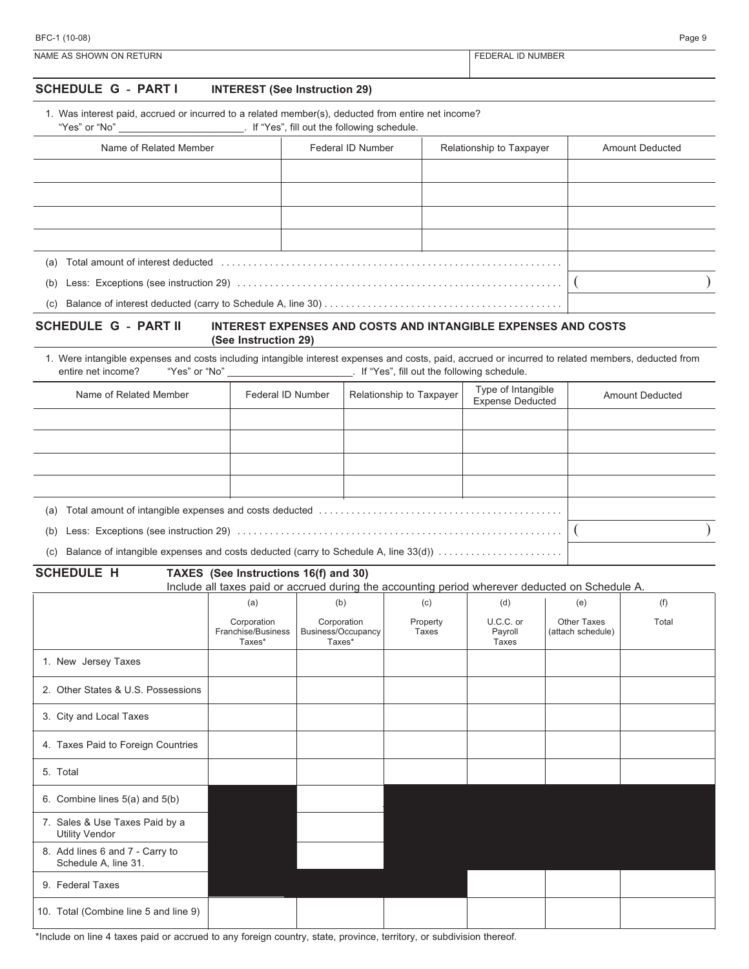| BFC-1<br>$(10-08)$      |                   |
|-------------------------|-------------------|
| NAME AS SHOWN ON RETURN | FEDERAL ID NUMBER |

# **SCHEDULE G - PART I INTEREST (See Instruction 29)**

|  | 1. Was interest paid, accrued or incurred to a related member(s), deducted from entire net income? |  |  |  |
|--|----------------------------------------------------------------------------------------------------|--|--|--|
|--|----------------------------------------------------------------------------------------------------|--|--|--|

#### "Yes" or "No" \_\_\_\_\_\_\_\_\_\_\_\_\_\_\_\_\_\_\_\_\_\_\_. If "Yes", fill out the following schedule.

| Name of Related Member                                                                                                | Federal ID Number | Relationship to Taxpayer | <b>Amount Deducted</b> |
|-----------------------------------------------------------------------------------------------------------------------|-------------------|--------------------------|------------------------|
|                                                                                                                       |                   |                          |                        |
|                                                                                                                       |                   |                          |                        |
|                                                                                                                       |                   |                          |                        |
|                                                                                                                       |                   |                          |                        |
| Total amount of interest deducted entertainment contains and container and container and container and contain<br>(a) |                   |                          |                        |
| (b)                                                                                                                   |                   |                          |                        |
|                                                                                                                       |                   |                          |                        |

#### **SCHEDULE G - PART II INTEREST EXPENSES AND COSTS AND INTANGIBLE EXPENSES AND COSTS (See Instruction 29)**

1. Were intangible expenses and costs including intangible interest expenses and costs, paid, accrued or incurred to related members, deducted from entire net income? "Yes" or "No" entire net income? "Yes" or "No" entire net income? If "Yes", fill out the following schedule.

| Name of Related Member                                                                     | Federal ID Number | Relationship to Taxpayer | Type of Intangible<br><b>Expense Deducted</b> | <b>Amount Deducted</b> |  |  |  |
|--------------------------------------------------------------------------------------------|-------------------|--------------------------|-----------------------------------------------|------------------------|--|--|--|
|                                                                                            |                   |                          |                                               |                        |  |  |  |
|                                                                                            |                   |                          |                                               |                        |  |  |  |
|                                                                                            |                   |                          |                                               |                        |  |  |  |
|                                                                                            |                   |                          |                                               |                        |  |  |  |
| (a)                                                                                        |                   |                          |                                               |                        |  |  |  |
| (b)                                                                                        |                   |                          |                                               |                        |  |  |  |
| Balance of intangible expenses and costs deducted (carry to Schedule A, line 33(d))<br>(c) |                   |                          |                                               |                        |  |  |  |

**SCHEDULE H TAXES (See Instructions 16(f) and 30)**

Include all taxes paid or accrued during the accounting period wherever deducted on Schedule A.

|                                                         | (a)                                         | (b)                                         | (c)               | (d)                           | (e)                                     | (f)   |
|---------------------------------------------------------|---------------------------------------------|---------------------------------------------|-------------------|-------------------------------|-----------------------------------------|-------|
|                                                         | Corporation<br>Franchise/Business<br>Taxes* | Corporation<br>Business/Occupancy<br>Taxes* | Property<br>Taxes | U.C.C. or<br>Payroll<br>Taxes | <b>Other Taxes</b><br>(attach schedule) | Total |
| 1. New Jersey Taxes                                     |                                             |                                             |                   |                               |                                         |       |
| 2. Other States & U.S. Possessions                      |                                             |                                             |                   |                               |                                         |       |
| 3. City and Local Taxes                                 |                                             |                                             |                   |                               |                                         |       |
| 4. Taxes Paid to Foreign Countries                      |                                             |                                             |                   |                               |                                         |       |
| 5. Total                                                |                                             |                                             |                   |                               |                                         |       |
| 6. Combine lines 5(a) and 5(b)                          |                                             |                                             |                   |                               |                                         |       |
| 7. Sales & Use Taxes Paid by a<br><b>Utility Vendor</b> |                                             |                                             |                   |                               |                                         |       |
| 8. Add lines 6 and 7 - Carry to<br>Schedule A, line 31. |                                             |                                             |                   |                               |                                         |       |
| 9. Federal Taxes                                        |                                             |                                             |                   |                               |                                         |       |
| 10. Total (Combine line 5 and line 9)                   |                                             |                                             |                   |                               |                                         |       |

\*Include on line 4 taxes paid or accrued to any foreign country, state, province, territory, or subdivision thereof.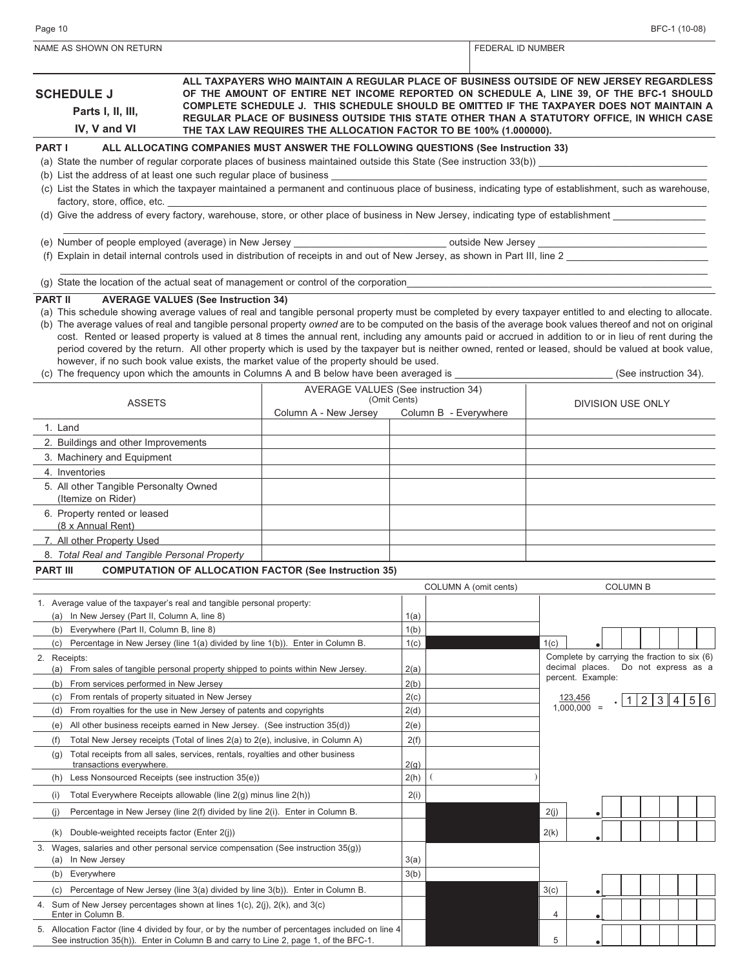| NAME AS SHOWN ON RETURN                                                                                                                                                                                                                                                                                                                                                                                                                                                                                    |                                            |                                                                                                                                                                                                                                                                                                                                                                                                               | FEDERAL ID NUMBER |                       |                       |      |                                              |  |                 |  |                       |  |
|------------------------------------------------------------------------------------------------------------------------------------------------------------------------------------------------------------------------------------------------------------------------------------------------------------------------------------------------------------------------------------------------------------------------------------------------------------------------------------------------------------|--------------------------------------------|---------------------------------------------------------------------------------------------------------------------------------------------------------------------------------------------------------------------------------------------------------------------------------------------------------------------------------------------------------------------------------------------------------------|-------------------|-----------------------|-----------------------|------|----------------------------------------------|--|-----------------|--|-----------------------|--|
| ALL TAXPAYERS WHO MAINTAIN A REGULAR PLACE OF BUSINESS OUTSIDE OF NEW JERSEY REGARDLESS<br><b>SCHEDULE J</b><br>OF THE AMOUNT OF ENTIRE NET INCOME REPORTED ON SCHEDULE A, LINE 39, OF THE BFC-1 SHOULD<br>COMPLETE SCHEDULE J. THIS SCHEDULE SHOULD BE OMITTED IF THE TAXPAYER DOES NOT MAINTAIN A<br>Parts I, II, III,<br>REGULAR PLACE OF BUSINESS OUTSIDE THIS STATE OTHER THAN A STATUTORY OFFICE, IN WHICH CASE<br>IV, V and VI<br>THE TAX LAW REQUIRES THE ALLOCATION FACTOR TO BE 100% (1.000000). |                                            |                                                                                                                                                                                                                                                                                                                                                                                                               |                   |                       |                       |      |                                              |  |                 |  |                       |  |
| <b>PART I</b>                                                                                                                                                                                                                                                                                                                                                                                                                                                                                              |                                            | ALL ALLOCATING COMPANIES MUST ANSWER THE FOLLOWING QUESTIONS (See Instruction 33)                                                                                                                                                                                                                                                                                                                             |                   |                       |                       |      |                                              |  |                 |  |                       |  |
| (a) State the number of regular corporate places of business maintained outside this State (See instruction 33(b))                                                                                                                                                                                                                                                                                                                                                                                         |                                            |                                                                                                                                                                                                                                                                                                                                                                                                               |                   |                       |                       |      |                                              |  |                 |  |                       |  |
| (b) List the address of at least one such regular place of business                                                                                                                                                                                                                                                                                                                                                                                                                                        |                                            |                                                                                                                                                                                                                                                                                                                                                                                                               |                   |                       |                       |      |                                              |  |                 |  |                       |  |
| (c) List the States in which the taxpayer maintained a permanent and continuous place of business, indicating type of establishment, such as warehouse,                                                                                                                                                                                                                                                                                                                                                    |                                            |                                                                                                                                                                                                                                                                                                                                                                                                               |                   |                       |                       |      |                                              |  |                 |  |                       |  |
| factory, store, office, etc.                                                                                                                                                                                                                                                                                                                                                                                                                                                                               |                                            |                                                                                                                                                                                                                                                                                                                                                                                                               |                   |                       |                       |      |                                              |  |                 |  |                       |  |
| (d) Give the address of every factory, warehouse, store, or other place of business in New Jersey, indicating type of establishment                                                                                                                                                                                                                                                                                                                                                                        |                                            |                                                                                                                                                                                                                                                                                                                                                                                                               |                   |                       |                       |      |                                              |  |                 |  |                       |  |
| (f) Explain in detail internal controls used in distribution of receipts in and out of New Jersey, as shown in Part III, line 2                                                                                                                                                                                                                                                                                                                                                                            |                                            |                                                                                                                                                                                                                                                                                                                                                                                                               |                   |                       |                       |      |                                              |  |                 |  |                       |  |
| (g) State the location of the actual seat of management or control of the corporation                                                                                                                                                                                                                                                                                                                                                                                                                      |                                            |                                                                                                                                                                                                                                                                                                                                                                                                               |                   |                       |                       |      |                                              |  |                 |  |                       |  |
| <b>PART II</b>                                                                                                                                                                                                                                                                                                                                                                                                                                                                                             | <b>AVERAGE VALUES (See Instruction 34)</b> |                                                                                                                                                                                                                                                                                                                                                                                                               |                   |                       |                       |      |                                              |  |                 |  |                       |  |
| (a) This schedule showing average values of real and tangible personal property must be completed by every taxpayer entitled to and electing to allocate.<br>(b) The average values of real and tangible personal property owned are to be computed on the basis of the average book values thereof and not on original<br>(c) The frequency upon which the amounts in Columns A and B below have been averaged is                                                                                         |                                            | cost. Rented or leased property is valued at 8 times the annual rent, including any amounts paid or accrued in addition to or in lieu of rent during the<br>period covered by the return. All other property which is used by the taxpayer but is neither owned, rented or leased, should be valued at book value,<br>however, if no such book value exists, the market value of the property should be used. |                   |                       |                       |      |                                              |  |                 |  | (See instruction 34). |  |
|                                                                                                                                                                                                                                                                                                                                                                                                                                                                                                            |                                            | AVERAGE VALUES (See instruction 34)                                                                                                                                                                                                                                                                                                                                                                           |                   |                       |                       |      |                                              |  |                 |  |                       |  |
| <b>ASSETS</b>                                                                                                                                                                                                                                                                                                                                                                                                                                                                                              |                                            | (Omit Cents)                                                                                                                                                                                                                                                                                                                                                                                                  |                   |                       |                       |      | DIVISION USE ONLY                            |  |                 |  |                       |  |
|                                                                                                                                                                                                                                                                                                                                                                                                                                                                                                            |                                            | Column A - New Jersey                                                                                                                                                                                                                                                                                                                                                                                         |                   | Column B - Everywhere |                       |      |                                              |  |                 |  |                       |  |
| 1. Land<br>2. Buildings and other Improvements                                                                                                                                                                                                                                                                                                                                                                                                                                                             |                                            |                                                                                                                                                                                                                                                                                                                                                                                                               |                   |                       |                       |      |                                              |  |                 |  |                       |  |
| 3. Machinery and Equipment                                                                                                                                                                                                                                                                                                                                                                                                                                                                                 |                                            |                                                                                                                                                                                                                                                                                                                                                                                                               |                   |                       |                       |      |                                              |  |                 |  |                       |  |
| 4. Inventories                                                                                                                                                                                                                                                                                                                                                                                                                                                                                             |                                            |                                                                                                                                                                                                                                                                                                                                                                                                               |                   |                       |                       |      |                                              |  |                 |  |                       |  |
| 5. All other Tangible Personalty Owned                                                                                                                                                                                                                                                                                                                                                                                                                                                                     |                                            |                                                                                                                                                                                                                                                                                                                                                                                                               |                   |                       |                       |      |                                              |  |                 |  |                       |  |
| (Itemize on Rider)<br>6. Property rented or leased                                                                                                                                                                                                                                                                                                                                                                                                                                                         |                                            |                                                                                                                                                                                                                                                                                                                                                                                                               |                   |                       |                       |      |                                              |  |                 |  |                       |  |
| (8 x Annual Rent)                                                                                                                                                                                                                                                                                                                                                                                                                                                                                          |                                            |                                                                                                                                                                                                                                                                                                                                                                                                               |                   |                       |                       |      |                                              |  |                 |  |                       |  |
| 7. All other Property Used<br>8. Total Real and Tangible Personal Property                                                                                                                                                                                                                                                                                                                                                                                                                                 |                                            |                                                                                                                                                                                                                                                                                                                                                                                                               |                   |                       |                       |      |                                              |  |                 |  |                       |  |
| <b>PART III</b>                                                                                                                                                                                                                                                                                                                                                                                                                                                                                            |                                            | <b>COMPUTATION OF ALLOCATION FACTOR (See Instruction 35)</b>                                                                                                                                                                                                                                                                                                                                                  |                   |                       |                       |      |                                              |  |                 |  |                       |  |
|                                                                                                                                                                                                                                                                                                                                                                                                                                                                                                            |                                            |                                                                                                                                                                                                                                                                                                                                                                                                               |                   |                       | COLUMN A (omit cents) |      |                                              |  | <b>COLUMN B</b> |  |                       |  |
|                                                                                                                                                                                                                                                                                                                                                                                                                                                                                                            |                                            |                                                                                                                                                                                                                                                                                                                                                                                                               |                   |                       |                       |      |                                              |  |                 |  |                       |  |
| 1. Average value of the taxpayer's real and tangible personal property:<br>(a) In New Jersey (Part II, Column A, line 8)                                                                                                                                                                                                                                                                                                                                                                                   |                                            |                                                                                                                                                                                                                                                                                                                                                                                                               | 1(a)              |                       |                       |      |                                              |  |                 |  |                       |  |
| Everywhere (Part II, Column B, line 8)<br>(b)                                                                                                                                                                                                                                                                                                                                                                                                                                                              |                                            |                                                                                                                                                                                                                                                                                                                                                                                                               | 1(b)              |                       |                       |      |                                              |  |                 |  |                       |  |
| (c) Percentage in New Jersey (line 1(a) divided by line 1(b)). Enter in Column B.                                                                                                                                                                                                                                                                                                                                                                                                                          |                                            |                                                                                                                                                                                                                                                                                                                                                                                                               | 1(c)              |                       |                       | 1(c) |                                              |  |                 |  |                       |  |
| 2. Receipts:                                                                                                                                                                                                                                                                                                                                                                                                                                                                                               |                                            |                                                                                                                                                                                                                                                                                                                                                                                                               |                   |                       |                       |      | Complete by carrying the fraction to six (6) |  |                 |  |                       |  |
| (a) From sales of tangible personal property shipped to points within New Jersey.                                                                                                                                                                                                                                                                                                                                                                                                                          |                                            |                                                                                                                                                                                                                                                                                                                                                                                                               | 2(a)              |                       |                       |      | decimal places.<br>percent. Example:         |  |                 |  | Do not express as a   |  |
| From services performed in New Jersey<br>(b)                                                                                                                                                                                                                                                                                                                                                                                                                                                               |                                            |                                                                                                                                                                                                                                                                                                                                                                                                               | 2(b)              |                       |                       |      |                                              |  |                 |  |                       |  |
| (c) From rentals of property situated in New Jersey<br>From royalties for the use in New Jersey of patents and copyrights<br>(d)                                                                                                                                                                                                                                                                                                                                                                           |                                            |                                                                                                                                                                                                                                                                                                                                                                                                               | 2(c)<br>2(d)      |                       |                       |      | <u>123,456</u><br>$1.000.000 =$              |  |                 |  | . 123456              |  |
| All other business receipts earned in New Jersey. (See instruction 35(d))<br>(e)                                                                                                                                                                                                                                                                                                                                                                                                                           |                                            |                                                                                                                                                                                                                                                                                                                                                                                                               | 2(e)              |                       |                       |      |                                              |  |                 |  |                       |  |
| Total New Jersey receipts (Total of lines 2(a) to 2(e), inclusive, in Column A)<br>(f)                                                                                                                                                                                                                                                                                                                                                                                                                     |                                            |                                                                                                                                                                                                                                                                                                                                                                                                               | 2(f)              |                       |                       |      |                                              |  |                 |  |                       |  |
| Total receipts from all sales, services, rentals, royalties and other business<br>(g)                                                                                                                                                                                                                                                                                                                                                                                                                      |                                            |                                                                                                                                                                                                                                                                                                                                                                                                               |                   |                       |                       |      |                                              |  |                 |  |                       |  |
| transactions everywhere.                                                                                                                                                                                                                                                                                                                                                                                                                                                                                   |                                            |                                                                                                                                                                                                                                                                                                                                                                                                               | 2(g)              |                       |                       |      |                                              |  |                 |  |                       |  |
| (h) Less Nonsourced Receipts (see instruction 35(e))                                                                                                                                                                                                                                                                                                                                                                                                                                                       |                                            |                                                                                                                                                                                                                                                                                                                                                                                                               | 2(h)              |                       |                       |      |                                              |  |                 |  |                       |  |
| Total Everywhere Receipts allowable (line 2(g) minus line 2(h))<br>(i)                                                                                                                                                                                                                                                                                                                                                                                                                                     |                                            |                                                                                                                                                                                                                                                                                                                                                                                                               | 2(i)              |                       |                       |      |                                              |  |                 |  |                       |  |
| Percentage in New Jersey (line 2(f) divided by line 2(i). Enter in Column B.<br>(j)                                                                                                                                                                                                                                                                                                                                                                                                                        |                                            |                                                                                                                                                                                                                                                                                                                                                                                                               |                   |                       |                       | 2(j) |                                              |  |                 |  |                       |  |
| (k)<br>Double-weighted receipts factor (Enter 2(j))                                                                                                                                                                                                                                                                                                                                                                                                                                                        |                                            |                                                                                                                                                                                                                                                                                                                                                                                                               |                   |                       |                       | 2(k) |                                              |  |                 |  |                       |  |
| 3. Wages, salaries and other personal service compensation (See instruction 35(g))                                                                                                                                                                                                                                                                                                                                                                                                                         |                                            |                                                                                                                                                                                                                                                                                                                                                                                                               |                   |                       |                       |      |                                              |  |                 |  |                       |  |
| In New Jersey<br>(a)                                                                                                                                                                                                                                                                                                                                                                                                                                                                                       |                                            |                                                                                                                                                                                                                                                                                                                                                                                                               | 3(a)              |                       |                       |      |                                              |  |                 |  |                       |  |
| Everywhere<br>(b)                                                                                                                                                                                                                                                                                                                                                                                                                                                                                          |                                            |                                                                                                                                                                                                                                                                                                                                                                                                               | 3(b)              |                       |                       |      |                                              |  |                 |  |                       |  |
| Percentage of New Jersey (line 3(a) divided by line 3(b)). Enter in Column B.<br>(c)                                                                                                                                                                                                                                                                                                                                                                                                                       |                                            |                                                                                                                                                                                                                                                                                                                                                                                                               |                   |                       |                       | 3(c) |                                              |  |                 |  |                       |  |
| 4. Sum of New Jersey percentages shown at lines 1(c), 2(j), 2(k), and 3(c)<br>Enter in Column B.                                                                                                                                                                                                                                                                                                                                                                                                           |                                            |                                                                                                                                                                                                                                                                                                                                                                                                               |                   |                       |                       | 4    |                                              |  |                 |  |                       |  |
| 5. Allocation Factor (line 4 divided by four, or by the number of percentages included on line 4<br>See instruction 35(h)). Enter in Column B and carry to Line 2, page 1, of the BFC-1.                                                                                                                                                                                                                                                                                                                   |                                            |                                                                                                                                                                                                                                                                                                                                                                                                               |                   |                       |                       | 5    |                                              |  |                 |  |                       |  |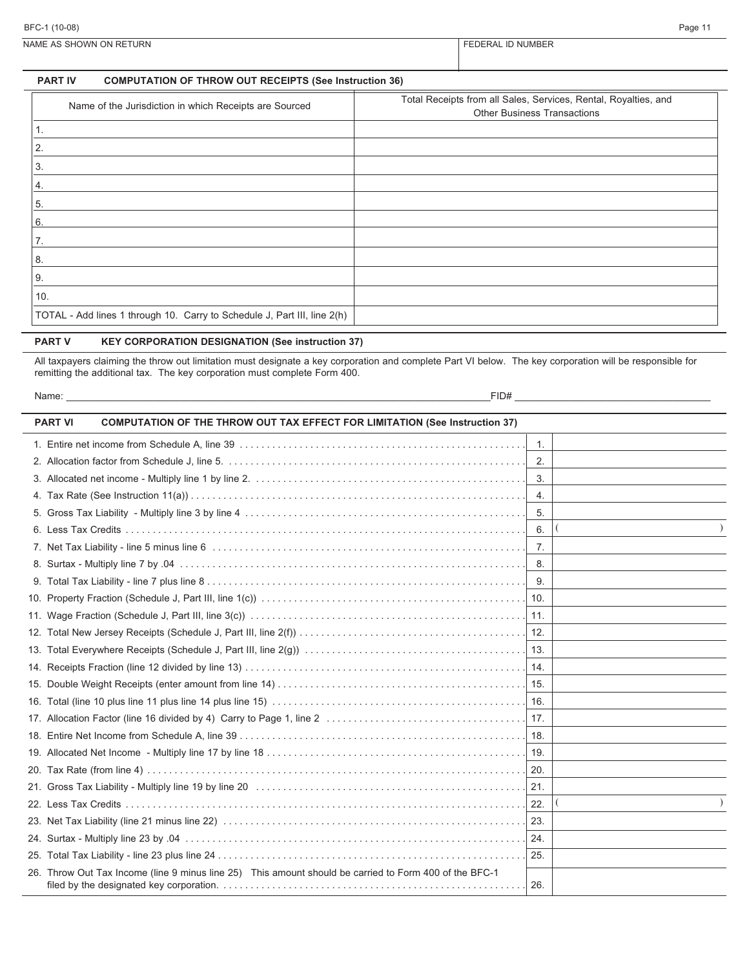NAME AS SHOWN ON RETURN FEDERAL ID NUMBER

### **PART IV COMPUTATION OF THROW OUT RECEIPTS (See Instruction 36)**

| Name of the Jurisdiction in which Receipts are Sourced                   | Total Receipts from all Sales, Services, Rental, Royalties, and<br><b>Other Business Transactions</b> |
|--------------------------------------------------------------------------|-------------------------------------------------------------------------------------------------------|
|                                                                          |                                                                                                       |
| 2.                                                                       |                                                                                                       |
| 3.                                                                       |                                                                                                       |
| 4.                                                                       |                                                                                                       |
| 5.                                                                       |                                                                                                       |
| 6.                                                                       |                                                                                                       |
| 7.                                                                       |                                                                                                       |
| 8.                                                                       |                                                                                                       |
| 9.                                                                       |                                                                                                       |
| 10.                                                                      |                                                                                                       |
| TOTAL - Add lines 1 through 10. Carry to Schedule J, Part III, line 2(h) |                                                                                                       |

#### **PART V KEY CORPORATION DESIGNATION (See instruction 37)**

All taxpayers claiming the throw out limitation must designate a key corporation and complete Part VI below. The key corporation will be responsible for remitting the additional tax. The key corporation must complete Form 400.

| Name: | FID# |  |
|-------|------|--|
|       |      |  |

| <b>COMPUTATION OF THE THROW OUT TAX EFFECT FOR LIMITATION (See Instruction 37)</b><br><b>PART VI</b>   |     |  |
|--------------------------------------------------------------------------------------------------------|-----|--|
|                                                                                                        | 1.  |  |
|                                                                                                        | 2.  |  |
|                                                                                                        | 3.  |  |
|                                                                                                        | 4.  |  |
|                                                                                                        | 5.  |  |
|                                                                                                        | 6.  |  |
|                                                                                                        | 7.  |  |
|                                                                                                        | 8.  |  |
|                                                                                                        | 9.  |  |
|                                                                                                        | 10. |  |
|                                                                                                        |     |  |
|                                                                                                        |     |  |
|                                                                                                        | 13. |  |
|                                                                                                        |     |  |
|                                                                                                        |     |  |
|                                                                                                        | 16. |  |
|                                                                                                        |     |  |
|                                                                                                        | 18. |  |
|                                                                                                        | 19. |  |
|                                                                                                        | 20. |  |
|                                                                                                        | 21. |  |
|                                                                                                        | 22. |  |
|                                                                                                        | 23. |  |
|                                                                                                        | 24. |  |
|                                                                                                        | 25. |  |
| 26. Throw Out Tax Income (line 9 minus line 25) This amount should be carried to Form 400 of the BFC-1 | 26. |  |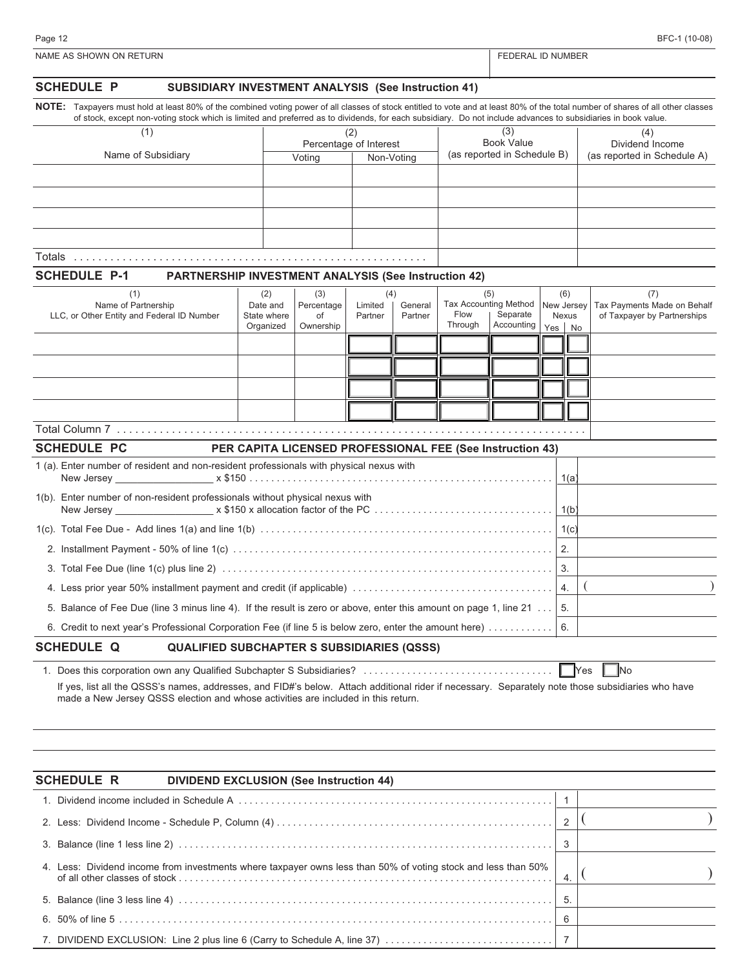| эσ | c |  |
|----|---|--|
|    |   |  |

| <b>SCHEDULE P</b><br><b>SUBSIDIARY INVESTMENT ANALYSIS (See Instruction 41)</b>                                                                                                                                                                                                                                                                   |                                             |                                                           |                           |                    |                                                        |                             |                                   |                                                                         |
|---------------------------------------------------------------------------------------------------------------------------------------------------------------------------------------------------------------------------------------------------------------------------------------------------------------------------------------------------|---------------------------------------------|-----------------------------------------------------------|---------------------------|--------------------|--------------------------------------------------------|-----------------------------|-----------------------------------|-------------------------------------------------------------------------|
| NOTE: Taxpayers must hold at least 80% of the combined voting power of all classes of stock entitled to vote and at least 80% of the total number of shares of all other classes<br>of stock, except non-voting stock which is limited and preferred as to dividends, for each subsidiary. Do not include advances to subsidiaries in book value. |                                             |                                                           |                           |                    |                                                        |                             |                                   |                                                                         |
| (1)                                                                                                                                                                                                                                                                                                                                               |                                             |                                                           | (2)                       |                    |                                                        | (3)                         |                                   | (4)                                                                     |
|                                                                                                                                                                                                                                                                                                                                                   |                                             |                                                           | Percentage of Interest    |                    | <b>Book Value</b>                                      |                             |                                   | Dividend Income                                                         |
| Name of Subsidiary                                                                                                                                                                                                                                                                                                                                |                                             | Voting                                                    |                           | Non-Voting         |                                                        | (as reported in Schedule B) |                                   | (as reported in Schedule A)                                             |
|                                                                                                                                                                                                                                                                                                                                                   |                                             |                                                           |                           |                    |                                                        |                             |                                   |                                                                         |
|                                                                                                                                                                                                                                                                                                                                                   |                                             |                                                           |                           |                    |                                                        |                             |                                   |                                                                         |
|                                                                                                                                                                                                                                                                                                                                                   |                                             |                                                           |                           |                    |                                                        |                             |                                   |                                                                         |
|                                                                                                                                                                                                                                                                                                                                                   |                                             |                                                           |                           |                    |                                                        |                             |                                   |                                                                         |
| <b>SCHEDULE P-1</b><br><b>PARTNERSHIP INVESTMENT ANALYSIS (See Instruction 42)</b>                                                                                                                                                                                                                                                                |                                             |                                                           |                           |                    |                                                        |                             |                                   |                                                                         |
| (1)<br>Name of Partnership<br>LLC, or Other Entity and Federal ID Number                                                                                                                                                                                                                                                                          | (2)<br>Date and<br>State where<br>Organized | (3)<br>Percentage<br>of<br>Ownership                      | (4)<br>Limited<br>Partner | General<br>Partner | (5)<br><b>Tax Accounting Method</b><br>Flow<br>Through | Separate<br>Accounting      | (6)<br>New Jersey<br>Nexus<br>Yes | (7)<br>Tax Payments Made on Behalf<br>of Taxpayer by Partnerships<br>No |
|                                                                                                                                                                                                                                                                                                                                                   |                                             |                                                           |                           |                    |                                                        |                             |                                   |                                                                         |
|                                                                                                                                                                                                                                                                                                                                                   |                                             |                                                           |                           |                    |                                                        |                             |                                   |                                                                         |
|                                                                                                                                                                                                                                                                                                                                                   |                                             |                                                           |                           |                    |                                                        |                             |                                   |                                                                         |
|                                                                                                                                                                                                                                                                                                                                                   |                                             |                                                           |                           |                    |                                                        |                             |                                   |                                                                         |
|                                                                                                                                                                                                                                                                                                                                                   |                                             |                                                           |                           |                    |                                                        |                             |                                   |                                                                         |
| <b>SCHEDULE PC</b>                                                                                                                                                                                                                                                                                                                                |                                             | PER CAPITA LICENSED PROFESSIONAL FEE (See Instruction 43) |                           |                    |                                                        |                             |                                   |                                                                         |
| 1 (a). Enter number of resident and non-resident professionals with physical nexus with                                                                                                                                                                                                                                                           |                                             |                                                           |                           |                    |                                                        |                             | 1(a)                              |                                                                         |
| 1(b). Enter number of non-resident professionals without physical nexus with                                                                                                                                                                                                                                                                      |                                             |                                                           |                           |                    |                                                        |                             |                                   |                                                                         |
|                                                                                                                                                                                                                                                                                                                                                   |                                             |                                                           |                           |                    |                                                        |                             | 1(b)                              |                                                                         |
|                                                                                                                                                                                                                                                                                                                                                   |                                             |                                                           |                           |                    |                                                        |                             | 1(c)                              |                                                                         |
|                                                                                                                                                                                                                                                                                                                                                   |                                             |                                                           |                           |                    |                                                        |                             | 2.                                |                                                                         |
|                                                                                                                                                                                                                                                                                                                                                   |                                             |                                                           |                           |                    |                                                        |                             | 3.                                |                                                                         |
|                                                                                                                                                                                                                                                                                                                                                   |                                             |                                                           |                           |                    |                                                        |                             | 4.                                |                                                                         |
| 5. Balance of Fee Due (line 3 minus line 4). If the result is zero or above, enter this amount on page 1, line 21                                                                                                                                                                                                                                 |                                             |                                                           |                           |                    |                                                        |                             | 5.                                |                                                                         |
| 6. Credit to next year's Professional Corporation Fee (if line 5 is below zero, enter the amount here)                                                                                                                                                                                                                                            |                                             |                                                           |                           |                    |                                                        |                             | 6.                                |                                                                         |
| <b>SCHEDULE Q</b><br><b>QUALIFIED SUBCHAPTER S SUBSIDIARIES (QSSS)</b>                                                                                                                                                                                                                                                                            |                                             |                                                           |                           |                    |                                                        |                             |                                   |                                                                         |
| If yes, list all the QSSS's names, addresses, and FID#'s below. Attach additional rider if necessary. Separately note those subsidiaries who have<br>made a New Jersey QSSS election and whose activities are included in this return.                                                                                                            |                                             |                                                           |                           |                    |                                                        |                             |                                   | <b>Yes</b><br>$\mathsf{No}$                                             |
|                                                                                                                                                                                                                                                                                                                                                   |                                             |                                                           |                           |                    |                                                        |                             |                                   |                                                                         |
| <b>SCHEDULE R</b><br><b>DIVIDEND EXCLUSION (See Instruction 44)</b>                                                                                                                                                                                                                                                                               |                                             |                                                           |                           |                    |                                                        |                             |                                   |                                                                         |
|                                                                                                                                                                                                                                                                                                                                                   |                                             |                                                           |                           |                    |                                                        |                             | $\mathbf{1}$                      |                                                                         |
|                                                                                                                                                                                                                                                                                                                                                   |                                             |                                                           |                           |                    |                                                        |                             | 2                                 |                                                                         |
|                                                                                                                                                                                                                                                                                                                                                   |                                             |                                                           |                           |                    |                                                        |                             | 3                                 |                                                                         |
| 4. Less: Dividend income from investments where taxpayer owns less than 50% of voting stock and less than 50%                                                                                                                                                                                                                                     |                                             |                                                           |                           |                    |                                                        |                             | 4.                                |                                                                         |
|                                                                                                                                                                                                                                                                                                                                                   |                                             |                                                           |                           |                    |                                                        |                             | 5.                                |                                                                         |
|                                                                                                                                                                                                                                                                                                                                                   |                                             |                                                           |                           |                    |                                                        |                             | 6                                 |                                                                         |

7. DIVIDEND EXCLUSION: Line 2 plus line 6 (Carry to Schedule A, line 37) . . . . . . . . . . . . . . . . . . . . . . . . . . . . . . . 7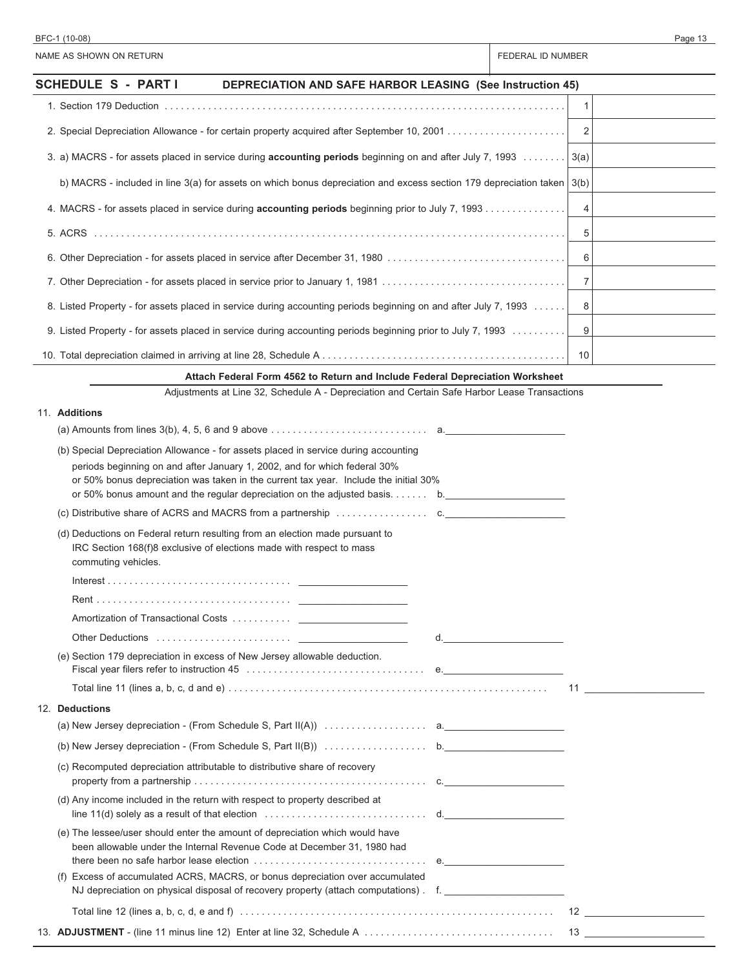| BFC-1 (10-08)                                                                                                                                                                                                                                                                                                                         |                   | Page 13 |
|---------------------------------------------------------------------------------------------------------------------------------------------------------------------------------------------------------------------------------------------------------------------------------------------------------------------------------------|-------------------|---------|
| NAME AS SHOWN ON RETURN                                                                                                                                                                                                                                                                                                               | FEDERAL ID NUMBER |         |
| <b>SCHEDULE S - PARTI</b><br><b>DEPRECIATION AND SAFE HARBOR LEASING (See Instruction 45)</b>                                                                                                                                                                                                                                         |                   |         |
|                                                                                                                                                                                                                                                                                                                                       | $\mathbf{1}$      |         |
|                                                                                                                                                                                                                                                                                                                                       | 2                 |         |
| 3. a) MACRS - for assets placed in service during accounting periods beginning on and after July 7, 1993                                                                                                                                                                                                                              | 3(a)              |         |
| b) MACRS - included in line 3(a) for assets on which bonus depreciation and excess section 179 depreciation taken                                                                                                                                                                                                                     | 3(b)              |         |
| 4. MACRS - for assets placed in service during accounting periods beginning prior to July 7, 1993                                                                                                                                                                                                                                     | 4                 |         |
|                                                                                                                                                                                                                                                                                                                                       | 5                 |         |
| 6. Other Depreciation - for assets placed in service after December 31, 1980                                                                                                                                                                                                                                                          | 6                 |         |
| 7. Other Depreciation - for assets placed in service prior to January 1, 1981                                                                                                                                                                                                                                                         | $\overline{7}$    |         |
| 8. Listed Property - for assets placed in service during accounting periods beginning on and after July 7, 1993                                                                                                                                                                                                                       | 8                 |         |
| 9. Listed Property - for assets placed in service during accounting periods beginning prior to July 7, 1993                                                                                                                                                                                                                           | 9                 |         |
|                                                                                                                                                                                                                                                                                                                                       | 10                |         |
| Attach Federal Form 4562 to Return and Include Federal Depreciation Worksheet                                                                                                                                                                                                                                                         |                   |         |
| Adjustments at Line 32, Schedule A - Depreciation and Certain Safe Harbor Lease Transactions                                                                                                                                                                                                                                          |                   |         |
| 11. Additions                                                                                                                                                                                                                                                                                                                         |                   |         |
| (a) Amounts from lines $3(b)$ , $4$ , $5$ , $6$ and $9$ above $\dots\dots\dots\dots\dots\dots\dots\dots$ a.                                                                                                                                                                                                                           |                   |         |
| (b) Special Depreciation Allowance - for assets placed in service during accounting<br>periods beginning on and after January 1, 2002, and for which federal 30%<br>or 50% bonus depreciation was taken in the current tax year. Include the initial 30%<br>or 50% bonus amount and the regular depreciation on the adjusted basis b. |                   |         |
| (c) Distributive share of ACRS and MACRS from a partnership $\ldots \ldots \ldots \ldots$ c.                                                                                                                                                                                                                                          |                   |         |
| (d) Deductions on Federal return resulting from an election made pursuant to<br>IRC Section 168(f)8 exclusive of elections made with respect to mass<br>commuting vehicles.                                                                                                                                                           |                   |         |
|                                                                                                                                                                                                                                                                                                                                       |                   |         |
|                                                                                                                                                                                                                                                                                                                                       |                   |         |
|                                                                                                                                                                                                                                                                                                                                       |                   |         |
|                                                                                                                                                                                                                                                                                                                                       | d.                |         |
| (e) Section 179 depreciation in excess of New Jersey allowable deduction.                                                                                                                                                                                                                                                             |                   |         |
| Total line 11 (lines a, b, c, d and e) $\ldots$ $\ldots$ $\ldots$ $\ldots$ $\ldots$ $\ldots$ $\ldots$ $\ldots$ $\ldots$ $\ldots$ $\ldots$ $\ldots$ $\ldots$ $\ldots$ $\ldots$ 11                                                                                                                                                      |                   |         |
| 12. Deductions                                                                                                                                                                                                                                                                                                                        |                   |         |
|                                                                                                                                                                                                                                                                                                                                       |                   |         |
|                                                                                                                                                                                                                                                                                                                                       |                   |         |
| (c) Recomputed depreciation attributable to distributive share of recovery                                                                                                                                                                                                                                                            |                   |         |
|                                                                                                                                                                                                                                                                                                                                       |                   |         |
| (d) Any income included in the return with respect to property described at<br>line 11(d) solely as a result of that election $\dots \dots \dots \dots \dots \dots \dots$ d.                                                                                                                                                          |                   |         |
| (e) The lessee/user should enter the amount of depreciation which would have<br>been allowable under the Internal Revenue Code at December 31, 1980 had                                                                                                                                                                               |                   |         |
| (f) Excess of accumulated ACRS, MACRS, or bonus depreciation over accumulated<br>NJ depreciation on physical disposal of recovery property (attach computations). f.                                                                                                                                                                  |                   |         |
| Total line 12 (lines a, b, c, d, e and f) $\ldots$ $\ldots$ $\ldots$ $\ldots$ $\ldots$ $\ldots$ $\ldots$ $\ldots$ $\ldots$ $\ldots$ $\ldots$ $\ldots$ $\ldots$ $\ldots$ $\ldots$ $\ldots$ $\ldots$ $\ldots$ $\ldots$ $\ldots$                                                                                                         |                   |         |
|                                                                                                                                                                                                                                                                                                                                       |                   |         |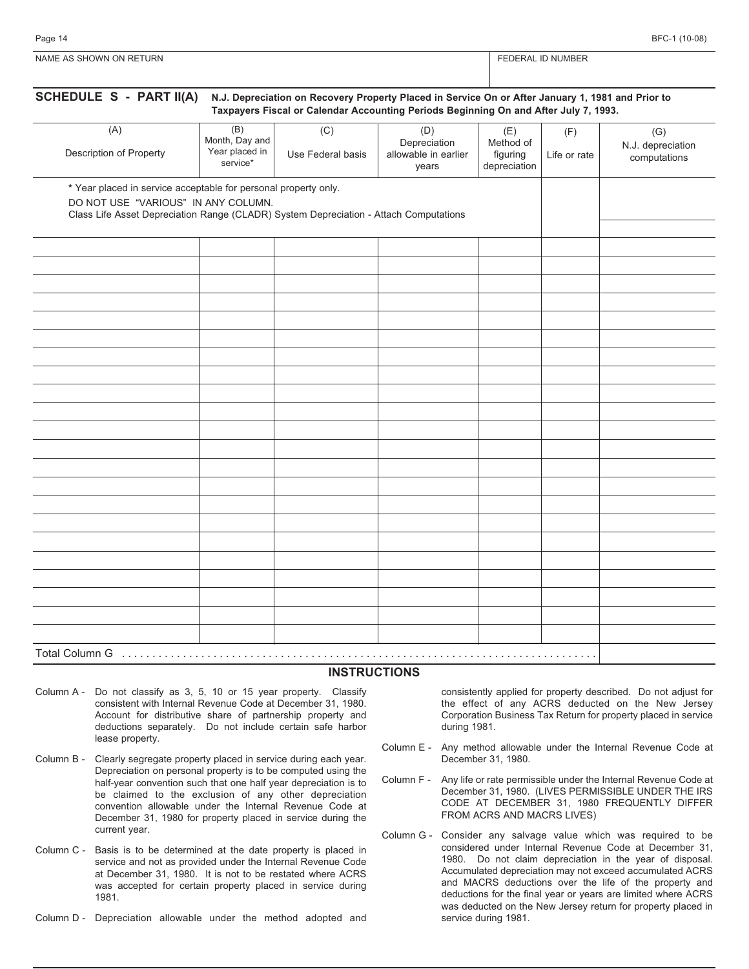| NI A N<br>┅<br><b>JWN</b><br>1 N H | $\cdots$ |
|------------------------------------|----------|
|                                    |          |

| SCHEDULE S - PART II(A)                                                                                                                                                                         |                                                     | N.J. Depreciation on Recovery Property Placed in Service On or After January 1, 1981 and Prior to<br>Taxpayers Fiscal or Calendar Accounting Periods Beginning On and After July 7, 1993. |                                                      |                                              |                     |                                          |
|-------------------------------------------------------------------------------------------------------------------------------------------------------------------------------------------------|-----------------------------------------------------|-------------------------------------------------------------------------------------------------------------------------------------------------------------------------------------------|------------------------------------------------------|----------------------------------------------|---------------------|------------------------------------------|
| (A)<br>Description of Property                                                                                                                                                                  | (B)<br>Month, Day and<br>Year placed in<br>service* | (C)<br>Use Federal basis                                                                                                                                                                  | (D)<br>Depreciation<br>allowable in earlier<br>years | (E)<br>Method of<br>figuring<br>depreciation | (F)<br>Life or rate | (G)<br>N.J. depreciation<br>computations |
| * Year placed in service acceptable for personal property only.<br>DO NOT USE "VARIOUS" IN ANY COLUMN.<br>Class Life Asset Depreciation Range (CLADR) System Depreciation - Attach Computations |                                                     |                                                                                                                                                                                           |                                                      |                                              |                     |                                          |
|                                                                                                                                                                                                 |                                                     |                                                                                                                                                                                           |                                                      |                                              |                     |                                          |
|                                                                                                                                                                                                 |                                                     |                                                                                                                                                                                           |                                                      |                                              |                     |                                          |
|                                                                                                                                                                                                 |                                                     |                                                                                                                                                                                           |                                                      |                                              |                     |                                          |
|                                                                                                                                                                                                 |                                                     |                                                                                                                                                                                           |                                                      |                                              |                     |                                          |
|                                                                                                                                                                                                 |                                                     |                                                                                                                                                                                           |                                                      |                                              |                     |                                          |
|                                                                                                                                                                                                 |                                                     |                                                                                                                                                                                           |                                                      |                                              |                     |                                          |
|                                                                                                                                                                                                 |                                                     |                                                                                                                                                                                           |                                                      |                                              |                     |                                          |
|                                                                                                                                                                                                 |                                                     |                                                                                                                                                                                           |                                                      |                                              |                     |                                          |
|                                                                                                                                                                                                 |                                                     |                                                                                                                                                                                           |                                                      |                                              |                     |                                          |
|                                                                                                                                                                                                 |                                                     |                                                                                                                                                                                           |                                                      |                                              |                     |                                          |
|                                                                                                                                                                                                 |                                                     |                                                                                                                                                                                           |                                                      |                                              |                     |                                          |
|                                                                                                                                                                                                 |                                                     |                                                                                                                                                                                           |                                                      |                                              |                     |                                          |
|                                                                                                                                                                                                 |                                                     |                                                                                                                                                                                           |                                                      |                                              |                     |                                          |

## **INSTRUCTIONS**

- Column A Do not classify as 3, 5, 10 or 15 year property. Classify consistent with Internal Revenue Code at December 31, 1980. Account for distributive share of partnership property and deductions separately. Do not include certain safe harbor lease property.
- Column B Clearly segregate property placed in service during each year. Depreciation on personal property is to be computed using the half-year convention such that one half year depreciation is to be claimed to the exclusion of any other depreciation convention allowable under the Internal Revenue Code at December 31, 1980 for property placed in service during the current year.
- Column C Basis is to be determined at the date property is placed in service and not as provided under the Internal Revenue Code at December 31, 1980. It is not to be restated where ACRS was accepted for certain property placed in service during 1981.
- Column D Depreciation allowable under the method adopted and

consistently applied for property described. Do not adjust for the effect of any ACRS deducted on the New Jersey Corporation Business Tax Return for property placed in service during 1981.

- Column E Any method allowable under the Internal Revenue Code at December 31, 1980.
- Column F Any life or rate permissible under the Internal Revenue Code at December 31, 1980. (LIVES PERMISSIBLE UNDER THE IRS CODE AT DECEMBER 31, 1980 FREQUENTLY DIFFER FROM ACRS AND MACRS LIVES)
- Column G Consider any salvage value which was required to be considered under Internal Revenue Code at December 31, 1980. Do not claim depreciation in the year of disposal. Accumulated depreciation may not exceed accumulated ACRS and MACRS deductions over the life of the property and deductions for the final year or years are limited where ACRS was deducted on the New Jersey return for property placed in service during 1981.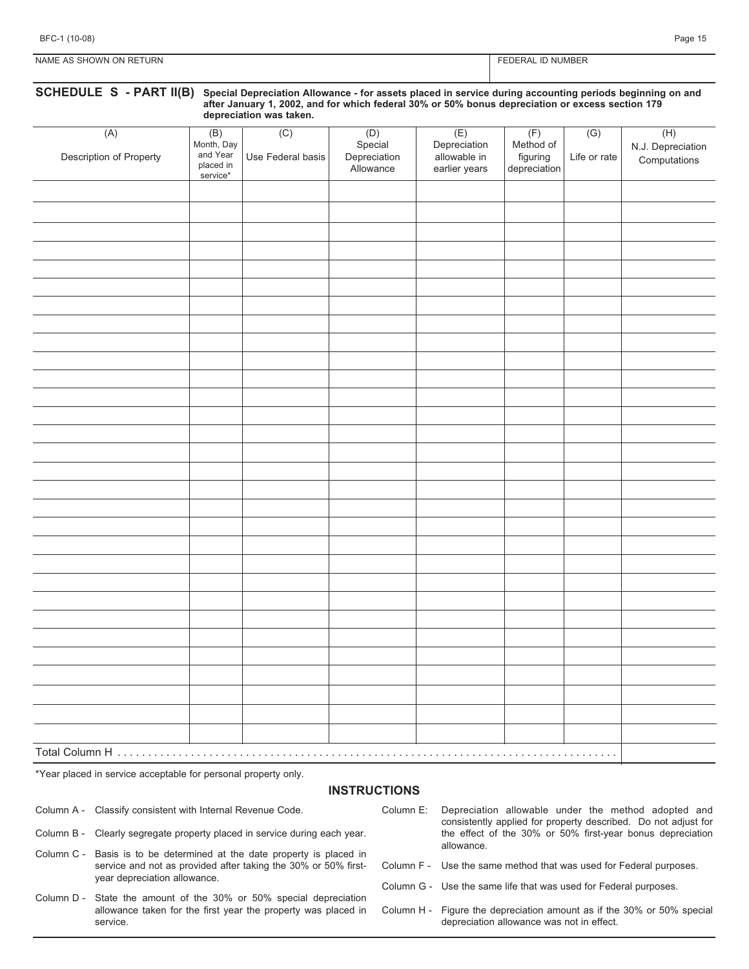| <b>NAME</b><br>AS SHOWN ON RETURN | NUMBER<br><b>FEDERAL IL</b><br>$\overline{1}$<br>שו |
|-----------------------------------|-----------------------------------------------------|

| <b>FEDERAL ID NUMBER</b> |  |
|--------------------------|--|

#### **SCHEDULE S - PART II(B) Special Depreciation Allowance - for assets placed in service during accounting periods beginning on and after January 1, 2002, and for which federal 30% or 50% bonus depreciation or excess section 179 depreciation was taken.** (H) (G) (F) (D) (E) (C) (B) (A)

| (A)                          | (B)<br>Month, Day<br>and Year | (C)               | $(D)$<br>Special          | (E)<br>Depreciation           | $(F)$<br>Method of       | (G)          | $(\mathsf{H})$<br>N.J. Depreciation |
|------------------------------|-------------------------------|-------------------|---------------------------|-------------------------------|--------------------------|--------------|-------------------------------------|
| Description of Property      | placed in<br>service*         | Use Federal basis | Depreciation<br>Allowance | allowable in<br>earlier years | figuring<br>depreciation | Life or rate | Computations                        |
|                              |                               |                   |                           |                               |                          |              |                                     |
|                              |                               |                   |                           |                               |                          |              |                                     |
|                              |                               |                   |                           |                               |                          |              |                                     |
|                              |                               |                   |                           |                               |                          |              |                                     |
|                              |                               |                   |                           |                               |                          |              |                                     |
|                              |                               |                   |                           |                               |                          |              |                                     |
|                              |                               |                   |                           |                               |                          |              |                                     |
|                              |                               |                   |                           |                               |                          |              |                                     |
|                              |                               |                   |                           |                               |                          |              |                                     |
|                              |                               |                   |                           |                               |                          |              |                                     |
|                              |                               |                   |                           |                               |                          |              |                                     |
|                              |                               |                   |                           |                               |                          |              |                                     |
|                              |                               |                   |                           |                               |                          |              |                                     |
|                              |                               |                   |                           |                               |                          |              |                                     |
|                              |                               |                   |                           |                               |                          |              |                                     |
|                              |                               |                   |                           |                               |                          |              |                                     |
|                              |                               |                   |                           |                               |                          |              |                                     |
|                              |                               |                   |                           |                               |                          |              |                                     |
|                              |                               |                   |                           |                               |                          |              |                                     |
|                              |                               |                   |                           |                               |                          |              |                                     |
|                              |                               |                   |                           |                               |                          |              |                                     |
|                              |                               |                   |                           |                               |                          |              |                                     |
|                              |                               |                   |                           |                               |                          |              |                                     |
|                              |                               |                   |                           |                               |                          |              |                                     |
|                              |                               |                   |                           |                               |                          |              |                                     |
|                              |                               |                   |                           |                               |                          |              |                                     |
|                              |                               |                   |                           |                               |                          |              |                                     |
|                              |                               |                   |                           |                               |                          |              |                                     |
|                              |                               |                   |                           |                               |                          |              |                                     |
| Total Column H<br>1.1.1<br>. |                               |                   |                           |                               |                          |              |                                     |

\*Year placed in service acceptable for personal property only.

#### **INSTRUCTIONS**

Column A - Classify consistent with Internal Revenue Code.

- Column B Clearly segregate property placed in service during each year.
- Column C Basis is to be determined at the date property is placed in service and not as provided after taking the 30% or 50% firstyear depreciation allowance.
- Column D State the amount of the 30% or 50% special depreciation allowance taken for the first year the property was placed in service.
- Column E: Depreciation allowable under the method adopted and consistently applied for property described. Do not adjust for the effect of the 30% or 50% first-year bonus depreciation allowance.
- Column F Use the same method that was used for Federal purposes.
- Column G Use the same life that was used for Federal purposes.
- Column H Figure the depreciation amount as if the 30% or 50% special depreciation allowance was not in effect.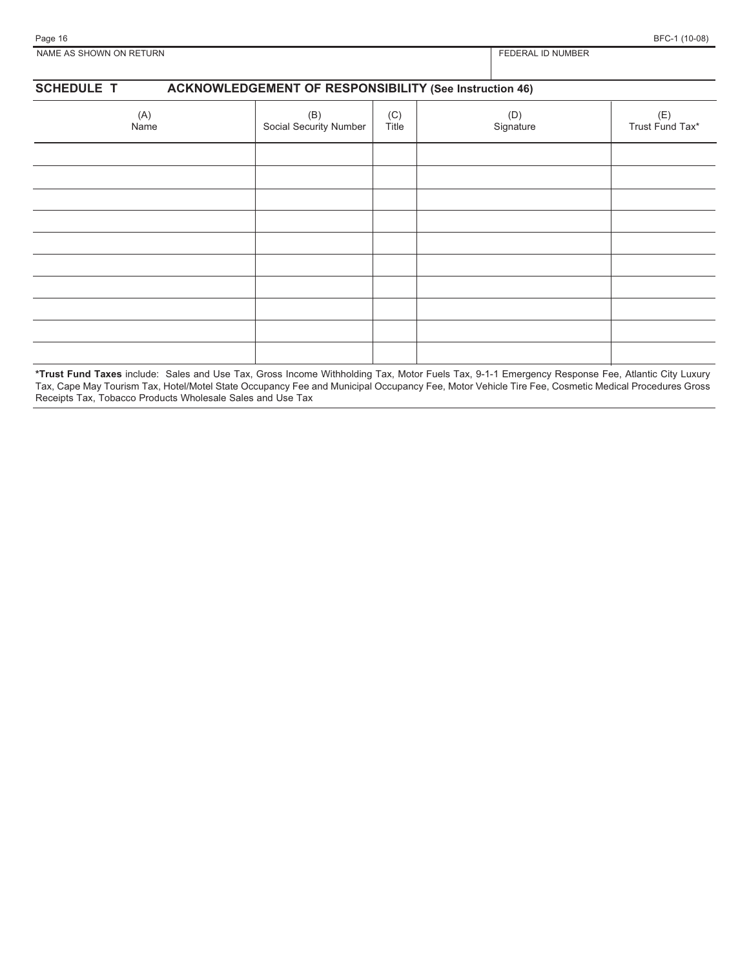| NAME AS SHOWN ON RETURN                                                            | FEDERAL ID NUMBER             |              |                  |                        |  |  |
|------------------------------------------------------------------------------------|-------------------------------|--------------|------------------|------------------------|--|--|
| <b>SCHEDULE T</b><br><b>ACKNOWLEDGEMENT OF RESPONSIBILITY (See Instruction 46)</b> |                               |              |                  |                        |  |  |
| (A)<br>Name                                                                        | (B)<br>Social Security Number | (C)<br>Title | (D)<br>Signature | (E)<br>Trust Fund Tax* |  |  |
|                                                                                    |                               |              |                  |                        |  |  |
|                                                                                    |                               |              |                  |                        |  |  |
|                                                                                    |                               |              |                  |                        |  |  |
|                                                                                    |                               |              |                  |                        |  |  |
|                                                                                    |                               |              |                  |                        |  |  |
|                                                                                    |                               |              |                  |                        |  |  |
|                                                                                    |                               |              |                  |                        |  |  |
|                                                                                    |                               |              |                  |                        |  |  |
|                                                                                    |                               |              |                  |                        |  |  |
|                                                                                    |                               |              |                  |                        |  |  |

Page 16 BFC-1 (10-08)

**\*Trust Fund Taxes** include: Sales and Use Tax, Gross Income Withholding Tax, Motor Fuels Tax, 9-1-1 Emergency Response Fee, Atlantic City Luxury Tax, Cape May Tourism Tax, Hotel/Motel State Occupancy Fee and Municipal Occupancy Fee, Motor Vehicle Tire Fee, Cosmetic Medical Procedures Gross Receipts Tax, Tobacco Products Wholesale Sales and Use Tax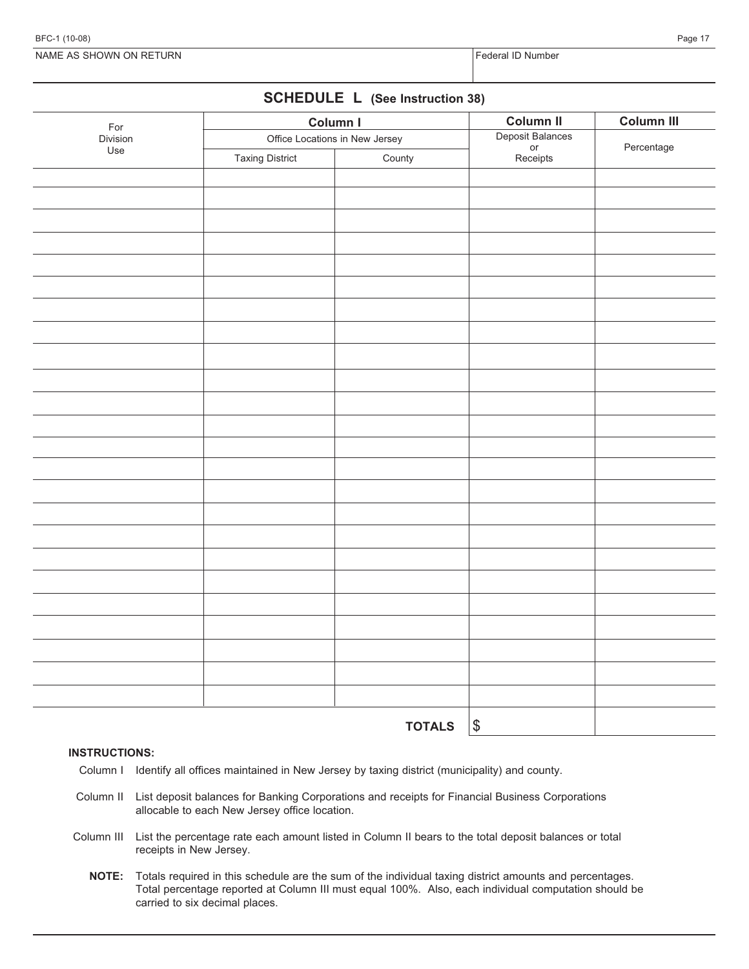BFC-1 (10-08) Page 17

NAME AS SHOWN ON RETURN FEDERAL STATES AND REAL STATES IN THE STATES OF STATES AND REAL STATES OF STATES AND REAL STATES OF STATES AND REAL STATES OF STATES AND REAL STATES OF STATES AND REAL STATES OF STATES AND REAL STAT

# **SCHEDULE L (See Instruction 38)**

| For      |                        | Column I                       | Column II                          | Column III |
|----------|------------------------|--------------------------------|------------------------------------|------------|
| Division |                        | Office Locations in New Jersey | Deposit Balances<br>or<br>Receipts | Percentage |
| Use      | <b>Taxing District</b> | County                         |                                    |            |
|          |                        |                                |                                    |            |
|          |                        |                                |                                    |            |
|          |                        |                                |                                    |            |
|          |                        |                                |                                    |            |
|          |                        |                                |                                    |            |
|          |                        |                                |                                    |            |
|          |                        |                                |                                    |            |
|          |                        |                                |                                    |            |
|          |                        |                                |                                    |            |
|          |                        |                                |                                    |            |
|          |                        |                                |                                    |            |
|          |                        |                                |                                    |            |
|          |                        |                                |                                    |            |
|          |                        |                                |                                    |            |
|          |                        |                                |                                    |            |
|          |                        |                                |                                    |            |
|          |                        |                                |                                    |            |
|          |                        |                                |                                    |            |
|          |                        |                                |                                    |            |
|          |                        |                                |                                    |            |
|          |                        |                                |                                    |            |
|          |                        |                                |                                    |            |
|          |                        |                                |                                    |            |
|          |                        |                                |                                    |            |
|          |                        |                                |                                    |            |
|          |                        |                                |                                    |            |
|          |                        | <b>TOTALS</b>                  | $\sqrt{ }$                         |            |

#### **INSTRUCTIONS:**

- Column I Identify all offices maintained in New Jersey by taxing district (municipality) and county.
- Column II List deposit balances for Banking Corporations and receipts for Financial Business Corporations allocable to each New Jersey office location.
- Column III List the percentage rate each amount listed in Column II bears to the total deposit balances or total receipts in New Jersey.
	- **NOTE:** Totals required in this schedule are the sum of the individual taxing district amounts and percentages. Total percentage reported at Column III must equal 100%. Also, each individual computation should be carried to six decimal places.